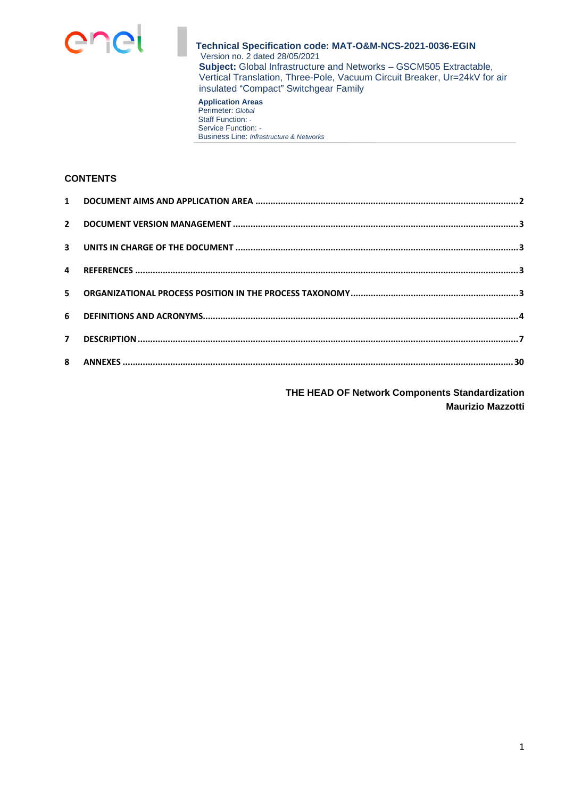

#### **Application Areas**  Perimeter: *Global* Staff Function: *-*  Service Function: *-*  Business Line: *Infrastructure & Networks*

#### **CONTENTS**

**THE HEAD OF Network Components Standardization Maurizio Mazzotti**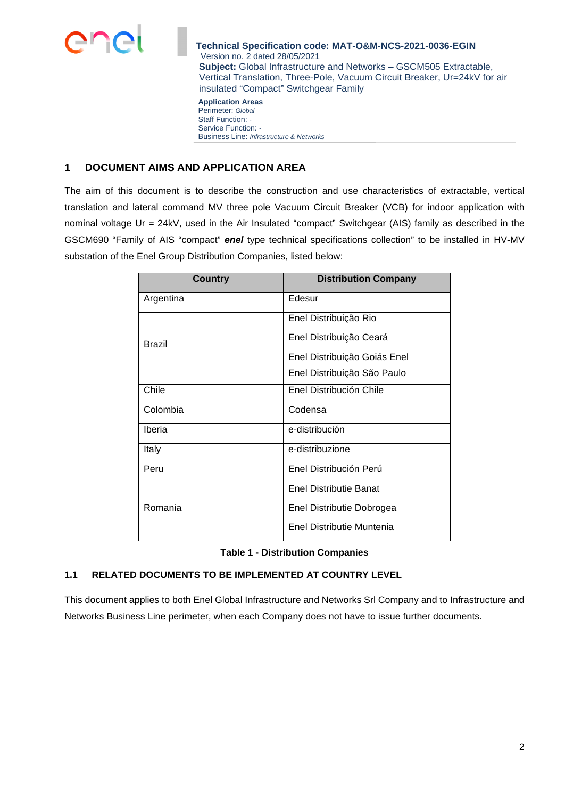

**Application Areas**  Perimeter: *Global* Staff Function: *-*  Service Function: *-*  Business Line: *Infrastructure & Networks*

# **1 DOCUMENT AIMS AND APPLICATION AREA**

The aim of this document is to describe the construction and use characteristics of extractable, vertical translation and lateral command MV three pole Vacuum Circuit Breaker (VCB) for indoor application with nominal voltage Ur = 24kV, used in the Air Insulated "compact" Switchgear (AIS) family as described in the GSCM690 "Family of AIS "compact" *enel* type technical specifications collection" to be installed in HV-MV substation of the Enel Group Distribution Companies, listed below:

| Country       | <b>Distribution Company</b>   |
|---------------|-------------------------------|
| Argentina     | Edesur                        |
|               | Enel Distribuição Rio         |
| <b>Brazil</b> | Enel Distribuição Ceará       |
|               | Enel Distribuição Goiás Enel  |
|               | Enel Distribuição São Paulo   |
| Chile         | Enel Distribución Chile       |
| Colombia      | Codensa                       |
| Iberia        | e-distribución                |
| Italy         | e-distribuzione               |
| Peru          | Enel Distribución Perú        |
|               | <b>Enel Distributie Banat</b> |
| Romania       | Enel Distributie Dobrogea     |
|               | Enel Distributie Muntenia     |

|  | <b>Table 1 - Distribution Companies</b> |  |
|--|-----------------------------------------|--|
|--|-----------------------------------------|--|

## **1.1 RELATED DOCUMENTS TO BE IMPLEMENTED AT COUNTRY LEVEL**

This document applies to both Enel Global Infrastructure and Networks Srl Company and to Infrastructure and Networks Business Line perimeter, when each Company does not have to issue further documents.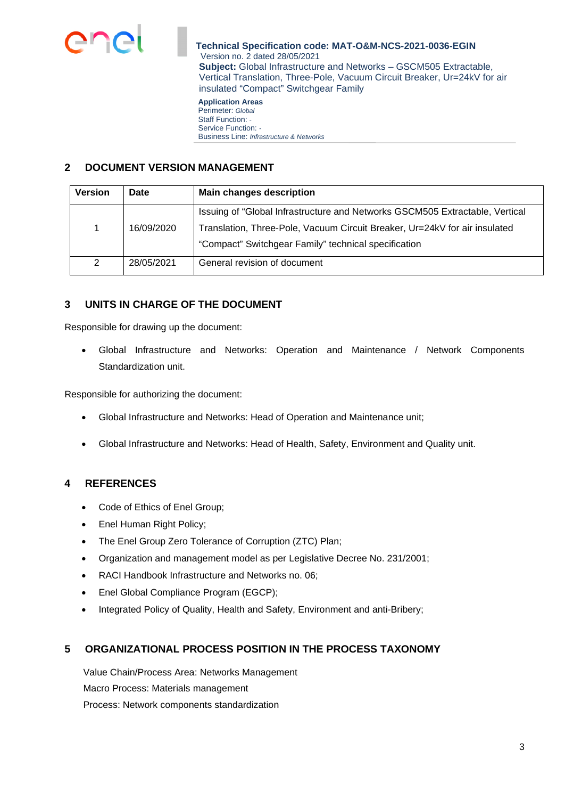

**Application Areas**  Perimeter: *Global* Staff Function: *-*  Service Function: *-*  Business Line: *Infrastructure & Networks*

# **2 DOCUMENT VERSION MANAGEMENT**

| <b>Version</b> | <b>Date</b> | <b>Main changes description</b>                                              |
|----------------|-------------|------------------------------------------------------------------------------|
|                |             | Issuing of "Global Infrastructure and Networks GSCM505 Extractable, Vertical |
|                | 16/09/2020  | Translation, Three-Pole, Vacuum Circuit Breaker, Ur=24kV for air insulated   |
|                |             | "Compact" Switchgear Family" technical specification                         |
| 2              | 28/05/2021  | General revision of document                                                 |

# **3 UNITS IN CHARGE OF THE DOCUMENT**

Responsible for drawing up the document:

 Global Infrastructure and Networks: Operation and Maintenance / Network Components Standardization unit.

Responsible for authorizing the document:

- Global Infrastructure and Networks: Head of Operation and Maintenance unit;
- Global Infrastructure and Networks: Head of Health, Safety, Environment and Quality unit.

# **4 REFERENCES**

- Code of Ethics of Enel Group;
- Enel Human Right Policy;
- The Enel Group Zero Tolerance of Corruption (ZTC) Plan;
- Organization and management model as per Legislative Decree No. 231/2001;
- RACI Handbook Infrastructure and Networks no. 06;
- Enel Global Compliance Program (EGCP);
- Integrated Policy of Quality, Health and Safety, Environment and anti-Bribery;

## **5 ORGANIZATIONAL PROCESS POSITION IN THE PROCESS TAXONOMY**

Value Chain/Process Area: Networks Management Macro Process: Materials management Process: Network components standardization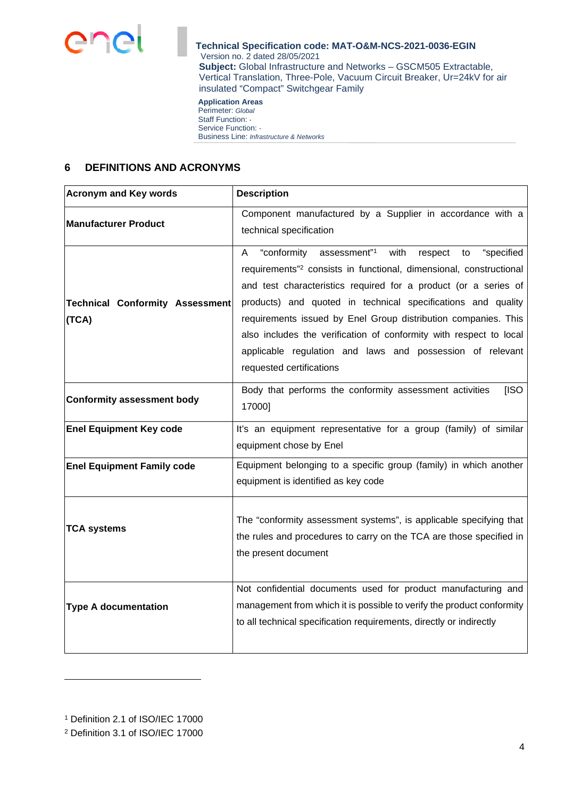

#### **Application Areas**  Perimeter: *Global* Staff Function: *-*  Service Function: *-*  Business Line: *Infrastructure & Networks*

## **6 DEFINITIONS AND ACRONYMS**

| <b>Acronym and Key words</b>                    | <b>Description</b>                                                                                                                                                                                                                                                                                                                                                                                                                                                                                                         |  |  |  |
|-------------------------------------------------|----------------------------------------------------------------------------------------------------------------------------------------------------------------------------------------------------------------------------------------------------------------------------------------------------------------------------------------------------------------------------------------------------------------------------------------------------------------------------------------------------------------------------|--|--|--|
| <b>Manufacturer Product</b>                     | Component manufactured by a Supplier in accordance with a<br>technical specification                                                                                                                                                                                                                                                                                                                                                                                                                                       |  |  |  |
| <b>Technical Conformity Assessment</b><br>(TCA) | "conformity assessment"1<br>with<br>"specified<br>respect<br>A<br>to<br>requirements" <sup>2</sup> consists in functional, dimensional, constructional<br>and test characteristics required for a product (or a series of<br>products) and quoted in technical specifications and quality<br>requirements issued by Enel Group distribution companies. This<br>also includes the verification of conformity with respect to local<br>applicable regulation and laws and possession of relevant<br>requested certifications |  |  |  |
| <b>Conformity assessment body</b>               | Body that performs the conformity assessment activities<br>[ISO<br>17000]                                                                                                                                                                                                                                                                                                                                                                                                                                                  |  |  |  |
| <b>Enel Equipment Key code</b>                  | It's an equipment representative for a group (family) of similar<br>equipment chose by Enel                                                                                                                                                                                                                                                                                                                                                                                                                                |  |  |  |
| <b>Enel Equipment Family code</b>               | Equipment belonging to a specific group (family) in which another<br>equipment is identified as key code                                                                                                                                                                                                                                                                                                                                                                                                                   |  |  |  |
| <b>TCA systems</b>                              | The "conformity assessment systems", is applicable specifying that<br>the rules and procedures to carry on the TCA are those specified in<br>the present document                                                                                                                                                                                                                                                                                                                                                          |  |  |  |
| <b>Type A documentation</b>                     | Not confidential documents used for product manufacturing and<br>management from which it is possible to verify the product conformity<br>to all technical specification requirements, directly or indirectly                                                                                                                                                                                                                                                                                                              |  |  |  |

<sup>1</sup> Definition 2.1 of ISO/IEC 17000

<sup>2</sup> Definition 3.1 of ISO/IEC 17000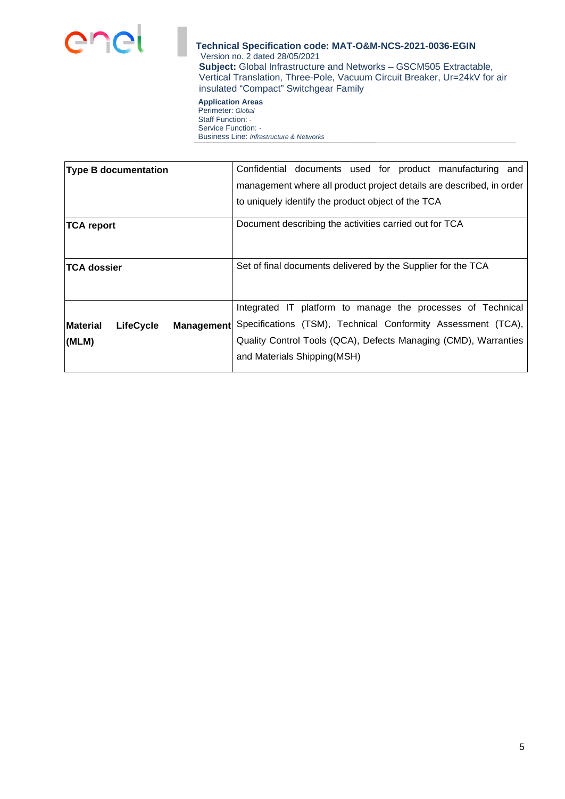

**Application Areas**  Perimeter: *Global* Staff Function: *-*  Service Function: *-*  Business Line: *Infrastructure & Networks*

| <b>Type B documentation</b>                              | Confidential documents used for product manufacturing and            |  |  |  |  |
|----------------------------------------------------------|----------------------------------------------------------------------|--|--|--|--|
|                                                          | management where all product project details are described, in order |  |  |  |  |
|                                                          | to uniquely identify the product object of the TCA                   |  |  |  |  |
| ∣TCA report                                              | Document describing the activities carried out for TCA               |  |  |  |  |
|                                                          |                                                                      |  |  |  |  |
| <b>ITCA dossier</b>                                      | Set of final documents delivered by the Supplier for the TCA         |  |  |  |  |
|                                                          |                                                                      |  |  |  |  |
|                                                          | Integrated IT platform to manage the processes of Technical          |  |  |  |  |
| <b>Material</b><br><b>LifeCycle</b><br><b>Management</b> | Specifications (TSM), Technical Conformity Assessment (TCA),         |  |  |  |  |
| (MLM)                                                    | Quality Control Tools (QCA), Defects Managing (CMD), Warranties      |  |  |  |  |
|                                                          | and Materials Shipping(MSH)                                          |  |  |  |  |
|                                                          |                                                                      |  |  |  |  |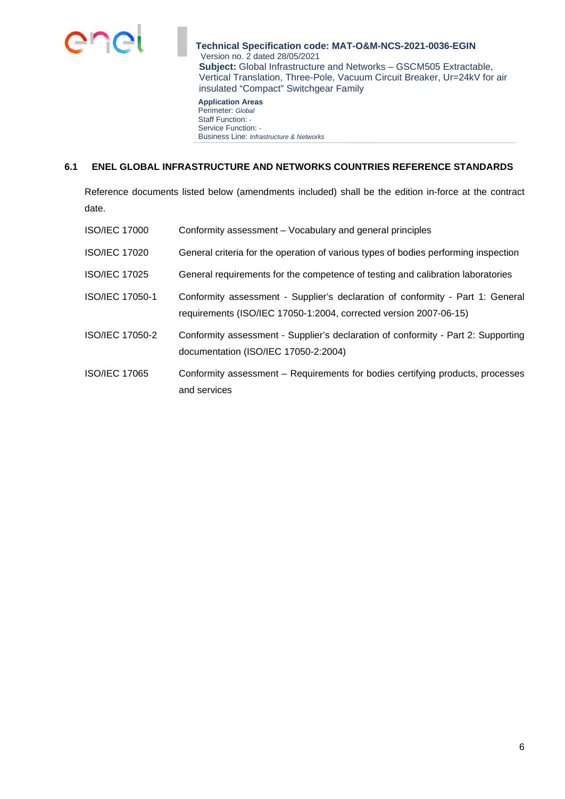

**Application Areas**  Perimeter: *Global* Staff Function: *-*  Service Function: *-*  Business Line: *Infrastructure & Networks*

## **6.1 ENEL GLOBAL INFRASTRUCTURE AND NETWORKS COUNTRIES REFERENCE STANDARDS**

Reference documents listed below (amendments included) shall be the edition in-force at the contract date.

| <b>ISO/IEC 17000</b> | Conformity assessment – Vocabulary and general principles                                                                                           |
|----------------------|-----------------------------------------------------------------------------------------------------------------------------------------------------|
| <b>ISO/IEC 17020</b> | General criteria for the operation of various types of bodies performing inspection                                                                 |
| <b>ISO/IEC 17025</b> | General requirements for the competence of testing and calibration laboratories                                                                     |
| ISO/IEC 17050-1      | Conformity assessment - Supplier's declaration of conformity - Part 1: General<br>requirements (ISO/IEC 17050-1:2004, corrected version 2007-06-15) |
| ISO/IEC 17050-2      | Conformity assessment - Supplier's declaration of conformity - Part 2: Supporting<br>documentation (ISO/IEC 17050-2:2004)                           |
| <b>ISO/IEC 17065</b> | Conformity assessment – Requirements for bodies certifying products, processes<br>and services                                                      |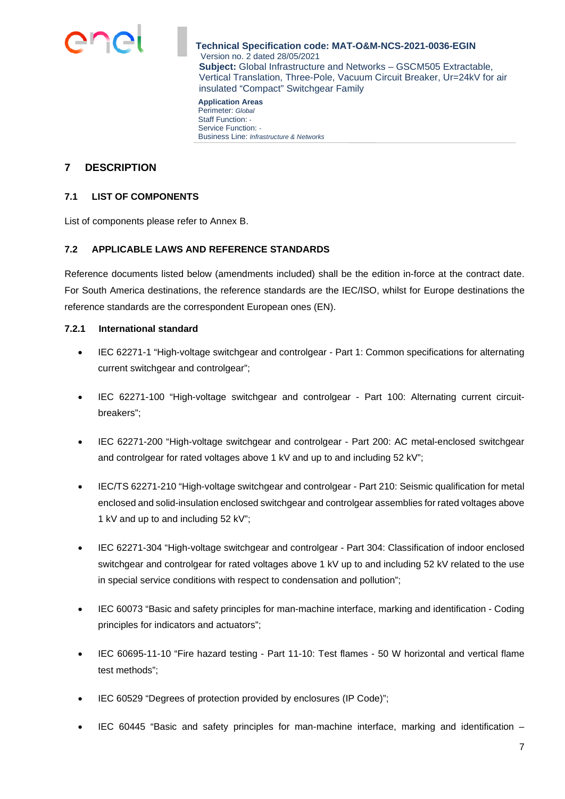

**Application Areas**  Perimeter: *Global* Staff Function: *-*  Service Function: *-*  Business Line: *Infrastructure & Networks*

# **7 DESCRIPTION**

## **7.1 LIST OF COMPONENTS**

List of components please refer to Annex B.

### **7.2 APPLICABLE LAWS AND REFERENCE STANDARDS**

Reference documents listed below (amendments included) shall be the edition in-force at the contract date. For South America destinations, the reference standards are the IEC/ISO, whilst for Europe destinations the reference standards are the correspondent European ones (EN).

## **7.2.1 International standard**

- IEC 62271-1 "High-voltage switchgear and controlgear Part 1: Common specifications for alternating current switchgear and controlgear";
- IEC 62271-100 "High-voltage switchgear and controlgear Part 100: Alternating current circuitbreakers";
- IEC 62271-200 "High-voltage switchgear and controlgear Part 200: AC metal-enclosed switchgear and controlgear for rated voltages above 1 kV and up to and including 52 kV";
- IEC/TS 62271-210 "High-voltage switchgear and controlgear Part 210: Seismic qualification for metal enclosed and solid-insulation enclosed switchgear and controlgear assemblies for rated voltages above 1 kV and up to and including 52 kV";
- IEC 62271-304 "High-voltage switchgear and controlgear Part 304: Classification of indoor enclosed switchgear and controlgear for rated voltages above 1 kV up to and including 52 kV related to the use in special service conditions with respect to condensation and pollution";
- IEC 60073 "Basic and safety principles for man-machine interface, marking and identification Coding principles for indicators and actuators";
- IEC 60695-11-10 "Fire hazard testing Part 11-10: Test flames 50 W horizontal and vertical flame test methods";
- IEC 60529 "Degrees of protection provided by enclosures (IP Code)";
- IEC 60445 "Basic and safety principles for man-machine interface, marking and identification –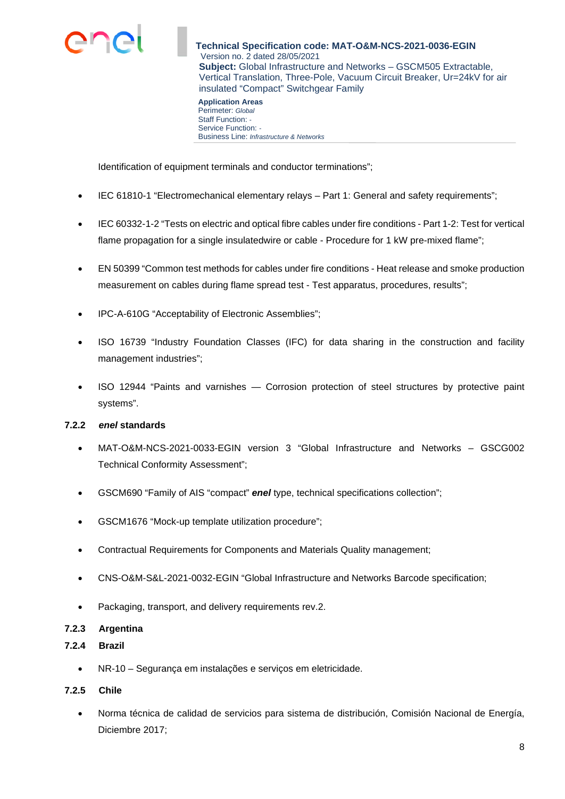

**Application Areas**  Perimeter: *Global* Staff Function: *-*  Service Function: *-*  Business Line: *Infrastructure & Networks*

Identification of equipment terminals and conductor terminations";

- IEC 61810-1 "Electromechanical elementary relays Part 1: General and safety requirements";
- IEC 60332-1-2 "Tests on electric and optical fibre cables under fire conditions Part 1-2: Test for vertical flame propagation for a single insulatedwire or cable - Procedure for 1 kW pre-mixed flame";
- EN 50399 "Common test methods for cables under fire conditions Heat release and smoke production measurement on cables during flame spread test - Test apparatus, procedures, results";
- IPC-A-610G "Acceptability of Electronic Assemblies";
- ISO 16739 "Industry Foundation Classes (IFC) for data sharing in the construction and facility management industries";
- ISO 12944 "Paints and varnishes Corrosion protection of steel structures by protective paint systems".

### **7.2.2** *enel* **standards**

- MAT-O&M-NCS-2021-0033-EGIN version 3 "Global Infrastructure and Networks GSCG002 Technical Conformity Assessment";
- GSCM690 "Family of AIS "compact" *enel* type, technical specifications collection";
- GSCM1676 "Mock-up template utilization procedure";
- Contractual Requirements for Components and Materials Quality management;
- CNS-O&M-S&L-2021-0032-EGIN "Global Infrastructure and Networks Barcode specification;
- Packaging, transport, and delivery requirements rev.2.

### **7.2.3 Argentina**

### **7.2.4 Brazil**

NR-10 – Segurança em instalações e serviços em eletricidade.

### **7.2.5 Chile**

 Norma técnica de calidad de servicios para sistema de distribución, Comisión Nacional de Energía, Diciembre 2017;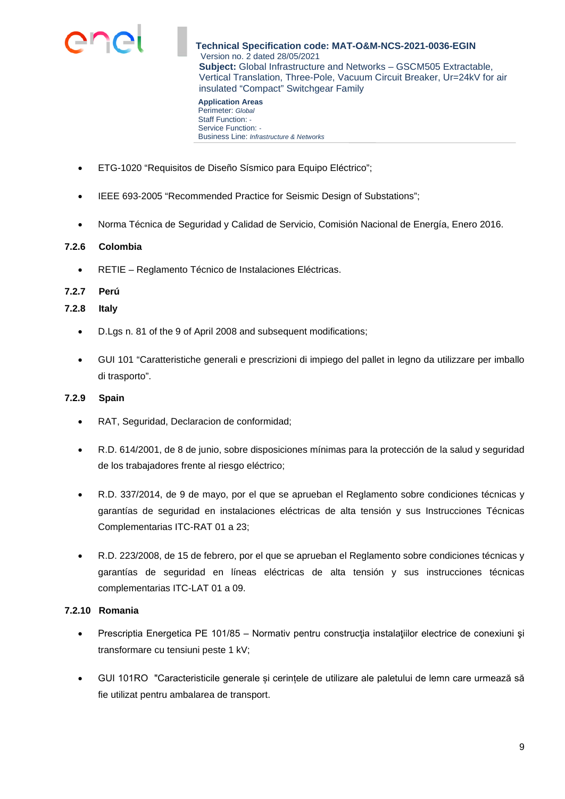

Perimeter: *Global* Staff Function: *-*  Service Function: *-*  Business Line: *Infrastructure & Networks*

- ETG-1020 "Requisitos de Diseño Sísmico para Equipo Eléctrico";
- IEEE 693-2005 "Recommended Practice for Seismic Design of Substations";
- Norma Técnica de Seguridad y Calidad de Servicio, Comisión Nacional de Energía, Enero 2016.

## **7.2.6 Colombia**

RETIE – Reglamento Técnico de Instalaciones Eléctricas.

### **7.2.7 Perú**

**7.2.8 Italy** 

- D.Lgs n. 81 of the 9 of April 2008 and subsequent modifications;
- GUI 101 "Caratteristiche generali e prescrizioni di impiego del pallet in legno da utilizzare per imballo di trasporto".

## **7.2.9 Spain**

- RAT, Seguridad, Declaracion de conformidad;
- R.D. 614/2001, de 8 de junio, sobre disposiciones mínimas para la protección de la salud y seguridad de los trabajadores frente al riesgo eléctrico;
- R.D. 337/2014, de 9 de mayo, por el que se aprueban el Reglamento sobre condiciones técnicas y garantías de seguridad en instalaciones eléctricas de alta tensión y sus Instrucciones Técnicas Complementarias ITC-RAT 01 a 23;
- R.D. 223/2008, de 15 de febrero, por el que se aprueban el Reglamento sobre condiciones técnicas y garantías de seguridad en líneas eléctricas de alta tensión y sus instrucciones técnicas complementarias ITC-LAT 01 a 09.

## **7.2.10 Romania**

- Prescriptia Energetica PE 101/85 Normativ pentru construcția instalațiilor electrice de conexiuni și transformare cu tensiuni peste 1 kV;
- GUI 101RO "Caracteristicile generale și cerințele de utilizare ale paletului de lemn care urmează să fie utilizat pentru ambalarea de transport.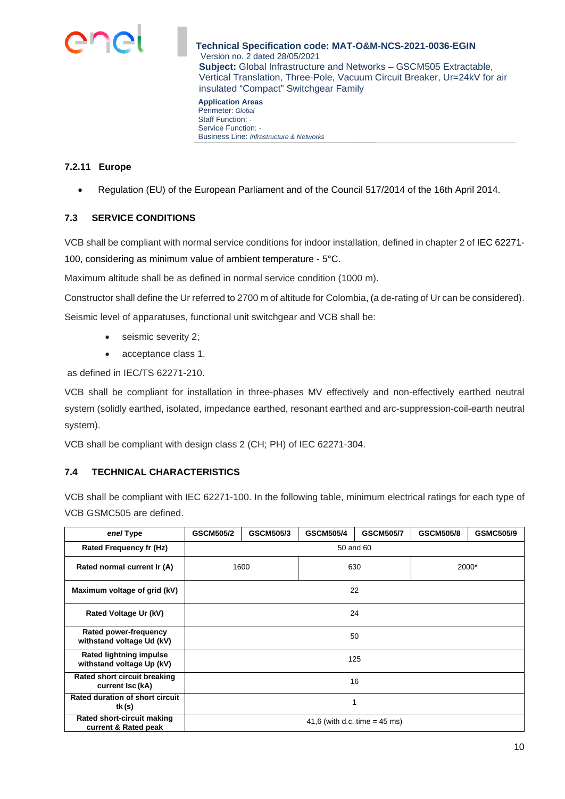

**Application Areas**  Perimeter: *Global* Staff Function: *-*  Service Function: *-*  Business Line: *Infrastructure & Networks*

## **7.2.11 Europe**

Regulation (EU) of the European Parliament and of the Council 517/2014 of the 16th April 2014.

### **7.3 SERVICE CONDITIONS**

VCB shall be compliant with normal service conditions for indoor installation, defined in chapter 2 of IEC 62271- 100, considering as minimum value of ambient temperature - 5°C.

Maximum altitude shall be as defined in normal service condition (1000 m).

Constructor shall define the Ur referred to 2700 m of altitude for Colombia, (a de-rating of Ur can be considered). Seismic level of apparatuses, functional unit switchgear and VCB shall be:

- seismic severity 2;
- acceptance class 1.

as defined in IEC/TS 62271-210.

VCB shall be compliant for installation in three-phases MV effectively and non-effectively earthed neutral system (solidly earthed, isolated, impedance earthed, resonant earthed and arc-suppression-coil-earth neutral system).

VCB shall be compliant with design class 2 (CH; PH) of IEC 62271-304.

### **7.4 TECHNICAL CHARACTERISTICS**

VCB shall be compliant with IEC 62271-100. In the following table, minimum electrical ratings for each type of VCB GSMC505 are defined.

| enel Type                                                   | <b>GSCM505/2</b>                         | GSCM505/3 | <b>GSCM505/4</b> | <b>GSCM505/7</b> | <b>GSCM505/8</b> | <b>GSMC505/9</b> |
|-------------------------------------------------------------|------------------------------------------|-----------|------------------|------------------|------------------|------------------|
| <b>Rated Frequency fr (Hz)</b>                              | 50 and 60                                |           |                  |                  |                  |                  |
| Rated normal current Ir (A)                                 | 1600                                     |           | 630              |                  | 2000*            |                  |
| Maximum voltage of grid (kV)                                |                                          |           | 22               |                  |                  |                  |
| Rated Voltage Ur (kV)                                       | 24                                       |           |                  |                  |                  |                  |
| Rated power-frequency<br>withstand voltage Ud (kV)          | 50                                       |           |                  |                  |                  |                  |
| <b>Rated lightning impulse</b><br>withstand voltage Up (kV) | 125                                      |           |                  |                  |                  |                  |
| Rated short circuit breaking<br>current Isc (kA)            | 16                                       |           |                  |                  |                  |                  |
| Rated duration of short circuit<br>tk (s)                   | 1                                        |           |                  |                  |                  |                  |
| Rated short-circuit making<br>current & Rated peak          | 41,6 (with d.c. time = $45 \text{ ms}$ ) |           |                  |                  |                  |                  |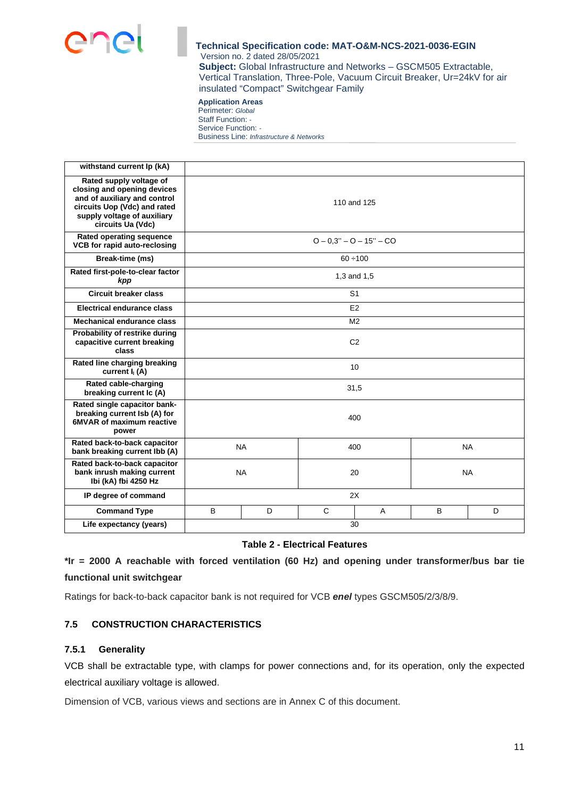

**Application Areas**  Perimeter: *Global* Staff Function: *-*  Service Function: *-*  Business Line: *Infrastructure & Networks*

| withstand current Ip (kA)                                                                                                                                                  |                               |                |    |                           |           |   |
|----------------------------------------------------------------------------------------------------------------------------------------------------------------------------|-------------------------------|----------------|----|---------------------------|-----------|---|
| Rated supply voltage of<br>closing and opening devices<br>and of auxiliary and control<br>circuits Uop (Vdc) and rated<br>supply voltage of auxiliary<br>circuits Ua (Vdc) | 110 and 125                   |                |    |                           |           |   |
| Rated operating sequence<br>VCB for rapid auto-reclosing                                                                                                                   |                               |                |    | $Q - 0.3" - Q - 15" - CO$ |           |   |
| Break-time (ms)                                                                                                                                                            |                               |                |    | $60 \div 100$             |           |   |
| Rated first-pole-to-clear factor<br>kpp                                                                                                                                    |                               |                |    | 1,3 and 1,5               |           |   |
| <b>Circuit breaker class</b>                                                                                                                                               |                               |                |    | S <sub>1</sub>            |           |   |
| <b>Electrical endurance class</b>                                                                                                                                          |                               |                |    | E <sub>2</sub>            |           |   |
| Mechanical endurance class                                                                                                                                                 |                               | M <sub>2</sub> |    |                           |           |   |
| Probability of restrike during<br>capacitive current breaking<br>class                                                                                                     | C <sub>2</sub>                |                |    |                           |           |   |
| Rated line charging breaking<br>current $I_1(A)$                                                                                                                           | 10                            |                |    |                           |           |   |
| Rated cable-charging<br>breaking current Ic (A)                                                                                                                            | 31,5                          |                |    |                           |           |   |
| Rated single capacitor bank-<br>breaking current Isb (A) for<br><b>6MVAR of maximum reactive</b><br>power                                                                  | 400                           |                |    |                           |           |   |
| Rated back-to-back capacitor<br>bank breaking current lbb (A)                                                                                                              | <b>NA</b><br><b>NA</b><br>400 |                |    |                           |           |   |
| Rated back-to-back capacitor<br>bank inrush making current<br>Ibi (kA) fbi 4250 Hz                                                                                         | <b>NA</b>                     |                | 20 |                           | <b>NA</b> |   |
| IP degree of command                                                                                                                                                       | 2X                            |                |    |                           |           |   |
| <b>Command Type</b>                                                                                                                                                        | B                             | D              | C  | A                         | B         | D |
| Life expectancy (years)                                                                                                                                                    |                               |                |    | 30                        |           |   |

### **Table 2 - Electrical Features**

**\*Ir = 2000 A reachable with forced ventilation (60 Hz) and opening under transformer/bus bar tie functional unit switchgear** 

Ratings for back-to-back capacitor bank is not required for VCB *enel* types GSCM505/2/3/8/9.

## **7.5 CONSTRUCTION CHARACTERISTICS**

### **7.5.1 Generality**

VCB shall be extractable type, with clamps for power connections and, for its operation, only the expected electrical auxiliary voltage is allowed.

Dimension of VCB, various views and sections are in Annex C of this document.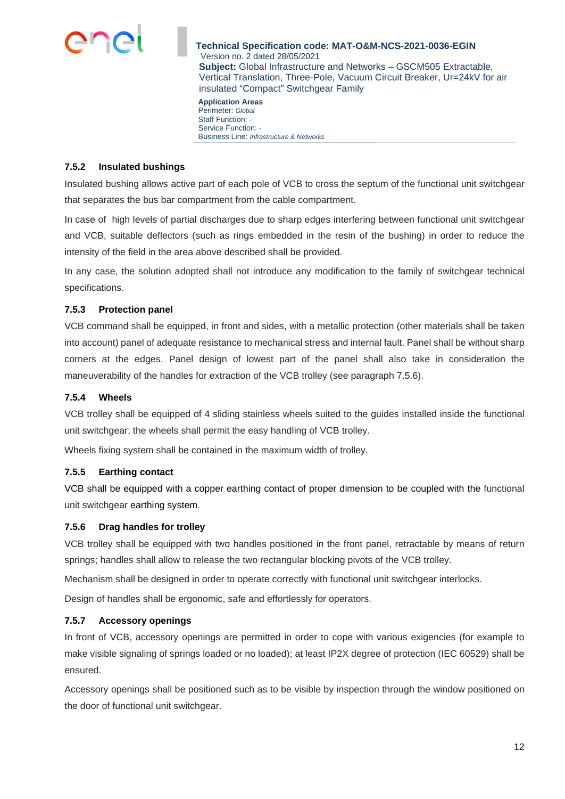

**Application Areas**  Perimeter: *Global* Staff Function: *-*  Service Function: *-*  Business Line: *Infrastructure & Networks*

### **7.5.2 Insulated bushings**

Insulated bushing allows active part of each pole of VCB to cross the septum of the functional unit switchgear that separates the bus bar compartment from the cable compartment.

In case of high levels of partial discharges due to sharp edges interfering between functional unit switchgear and VCB, suitable deflectors (such as rings embedded in the resin of the bushing) in order to reduce the intensity of the field in the area above described shall be provided.

In any case, the solution adopted shall not introduce any modification to the family of switchgear technical specifications.

#### **7.5.3 Protection panel**

VCB command shall be equipped, in front and sides, with a metallic protection (other materials shall be taken into account) panel of adequate resistance to mechanical stress and internal fault. Panel shall be without [sharp](https://dictionary.cambridge.org/it/dizionario/inglese-italiano/sharp) corners at the edges. Panel design of lowest part of the panel shall also take in consideration the maneuverability of the handles for extraction of the VCB trolley (see paragraph 7.5.6).

#### **7.5.4 Wheels**

VCB trolley shall be equipped of 4 sliding stainless wheels suited to the guides installed inside the functional unit switchgear; the wheels shall permit the easy handling of VCB trolley.

Wheels fixing system shall be contained in the maximum width of trolley.

#### **7.5.5 Earthing contact**

VCB shall be equipped with a copper earthing contact of proper dimension to be coupled with the functional unit switchgear earthing system.

#### **7.5.6 Drag handles for trolley**

VCB trolley shall be equipped with two handles positioned in the front panel, retractable by means of return springs; handles shall allow to release the two rectangular blocking pivots of the VCB trolley.

Mechanism shall be designed in order to operate correctly with functional unit switchgear interlocks.

Design of handles shall be ergonomic, safe and effortlessly for operators.

### **7.5.7 Accessory openings**

In front of VCB, accessory openings are permitted in order to cope with various exigencies (for example to make visible signaling of springs loaded or no loaded); at least IP2X degree of protection (IEC 60529) shall be ensured.

Accessory openings shall be positioned such as to be visible by inspection through the window positioned on the door of functional unit switchgear.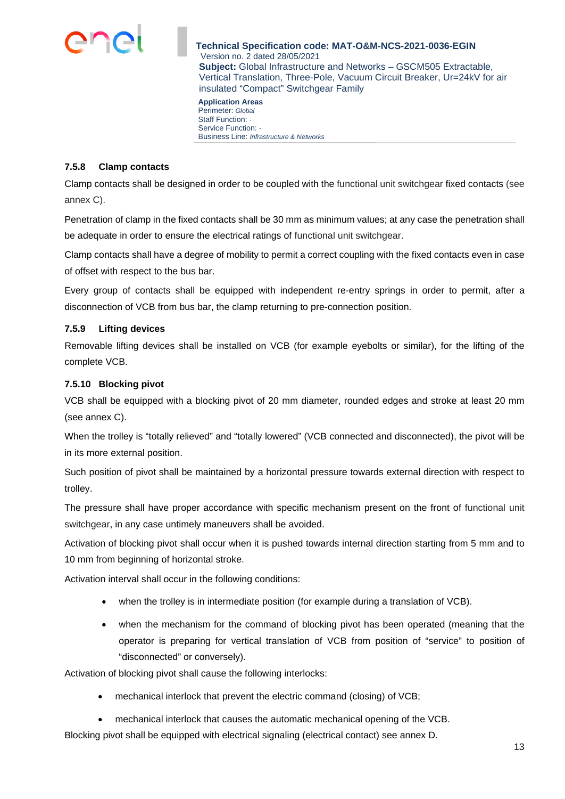

**Application Areas**  Perimeter: *Global* Staff Function: *-*  Service Function: *-*  Business Line: *Infrastructure & Networks*

#### **7.5.8 Clamp contacts**

Clamp contacts shall be designed in order to be coupled with the functional unit switchgear fixed contacts (see annex C).

Penetration of clamp in the fixed contacts shall be 30 mm as minimum values; at any case the penetration shall be adequate in order to ensure the electrical ratings of functional unit switchgear.

Clamp contacts shall have a degree of mobility to permit a correct coupling with the fixed contacts even in case of offset with respect to the bus bar.

Every group of contacts shall be equipped with independent re-entry springs in order to permit, after a disconnection of VCB from bus bar, the clamp returning to pre-connection position.

## **7.5.9 Lifting devices**

Removable lifting devices shall be installed on VCB (for example eyebolts or similar), for the lifting of the complete VCB.

## **7.5.10 Blocking pivot**

VCB shall be equipped with a blocking pivot of 20 mm diameter, rounded edges and stroke at least 20 mm (see annex C).

When the trolley is "totally relieved" and "totally lowered" (VCB connected and disconnected), the pivot will be in its more external position.

Such position of pivot shall be maintained by a horizontal pressure towards external direction with respect to trolley.

The pressure shall have proper accordance with specific mechanism present on the front of functional unit switchgear, in any case untimely maneuvers shall be avoided.

Activation of blocking pivot shall occur when it is pushed towards internal direction starting from 5 mm and to 10 mm from beginning of horizontal stroke.

Activation interval shall occur in the following conditions:

- when the trolley is in intermediate position (for example during a translation of VCB).
- when the mechanism for the command of blocking pivot has been operated (meaning that the operator is preparing for vertical translation of VCB from position of "service" to position of "disconnected" or conversely).

Activation of blocking pivot shall cause the following interlocks:

- mechanical interlock that prevent the electric command (closing) of VCB;
- mechanical interlock that causes the automatic mechanical opening of the VCB.

Blocking pivot shall be equipped with electrical signaling (electrical contact) see annex D.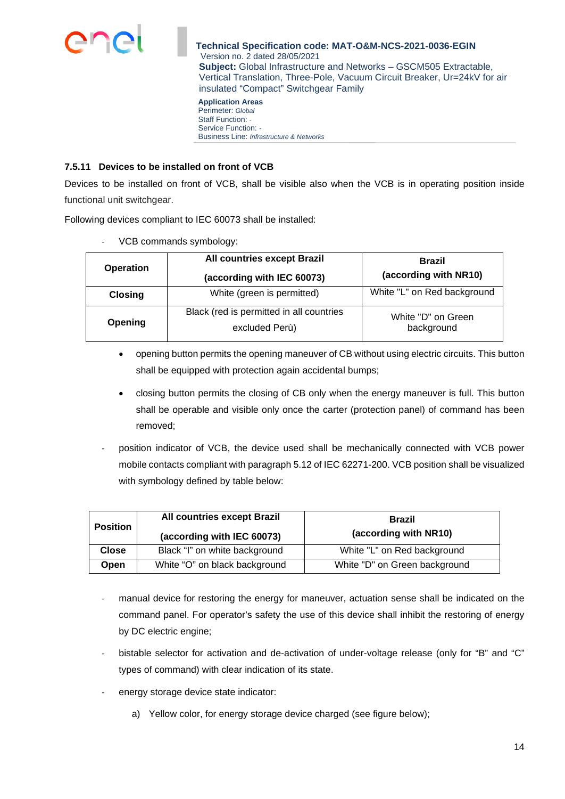

**Application Areas**  Perimeter: *Global* Staff Function: *-*  Service Function: *-*  Business Line: *Infrastructure & Networks*

## **7.5.11 Devices to be installed on front of VCB**

Devices to be installed on front of VCB, shall be visible also when the VCB is in operating position inside functional unit switchgear.

Following devices compliant to IEC 60073 shall be installed:

| <b>Operation</b> | All countries except Brazil                                | <b>Brazil</b>                    |  |  |
|------------------|------------------------------------------------------------|----------------------------------|--|--|
|                  | (according with IEC 60073)                                 | (according with NR10)            |  |  |
| <b>Closing</b>   | White (green is permitted)                                 | White "L" on Red background      |  |  |
| Opening          | Black (red is permitted in all countries<br>excluded Perù) | White "D" on Green<br>background |  |  |

VCB commands symbology:

- opening button permits the opening maneuver of CB without using electric circuits. This button shall be equipped with protection again accidental bumps;
- closing button permits the closing of CB only when the energy maneuver is full. This button shall be operable and visible only once the carter (protection panel) of command has been removed;
- position indicator of VCB, the device used shall be mechanically connected with VCB power mobile contacts compliant with paragraph 5.12 of IEC 62271-200. VCB position shall be visualized with symbology defined by table below:

|                 | All countries except Brazil   | <b>Brazil</b>                 |  |
|-----------------|-------------------------------|-------------------------------|--|
| <b>Position</b> | (according with IEC 60073)    | (according with NR10)         |  |
| Close           | Black "I" on white background | White "L" on Red background   |  |
| Open            | White "O" on black background | White "D" on Green background |  |

- manual device for restoring the energy for maneuver, actuation sense shall be indicated on the command panel. For operator's safety the use of this device shall inhibit the restoring of energy by DC electric engine;
- bistable selector for activation and de-activation of under-voltage release (only for "B" and "C" types of command) with clear indication of its state.
- energy storage device state indicator:
	- a) Yellow color, for energy storage device charged (see figure below);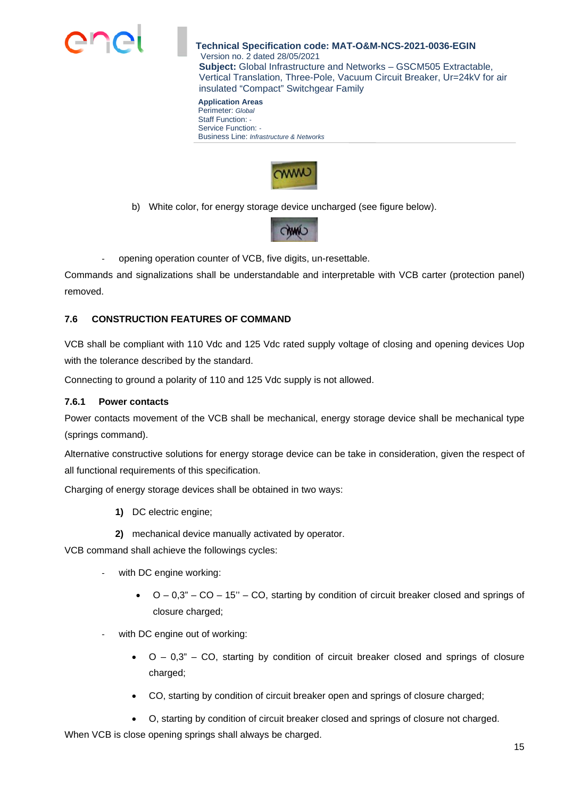

**Application Areas**  Perimeter: *Global* Staff Function: *-*  Service Function: *-*  Business Line: *Infrastructure & Networks*



b) White color, for energy storage device uncharged (see figure below).



opening operation counter of VCB, five digits, un-resettable.

Commands and signalizations shall be understandable and interpretable with VCB carter (protection panel) removed.

## **7.6 CONSTRUCTION FEATURES OF COMMAND**

VCB shall be compliant with 110 Vdc and 125 Vdc rated supply voltage of closing and opening devices Uop with the tolerance described by the standard.

Connecting to ground a polarity of 110 and 125 Vdc supply is not allowed.

### **7.6.1 Power contacts**

Power contacts movement of the VCB shall be mechanical, energy storage device shall be mechanical type (springs command).

Alternative constructive solutions for energy storage device can be take in consideration, given the respect of all functional requirements of this specification.

Charging of energy storage devices shall be obtained in two ways:

- **1)** DC electric engine;
- **2)** mechanical device manually activated by operator.

VCB command shall achieve the followings cycles:

- with DC engine working:
	- $O 0.3" CO 15" CO$ , starting by condition of circuit breaker closed and springs of closure charged;
- with DC engine out of working:
	- $\bullet$   $O 0.3" CO$ , starting by condition of circuit breaker closed and springs of closure charged;
	- CO, starting by condition of circuit breaker open and springs of closure charged;

 O, starting by condition of circuit breaker closed and springs of closure not charged. When VCB is close opening springs shall always be charged.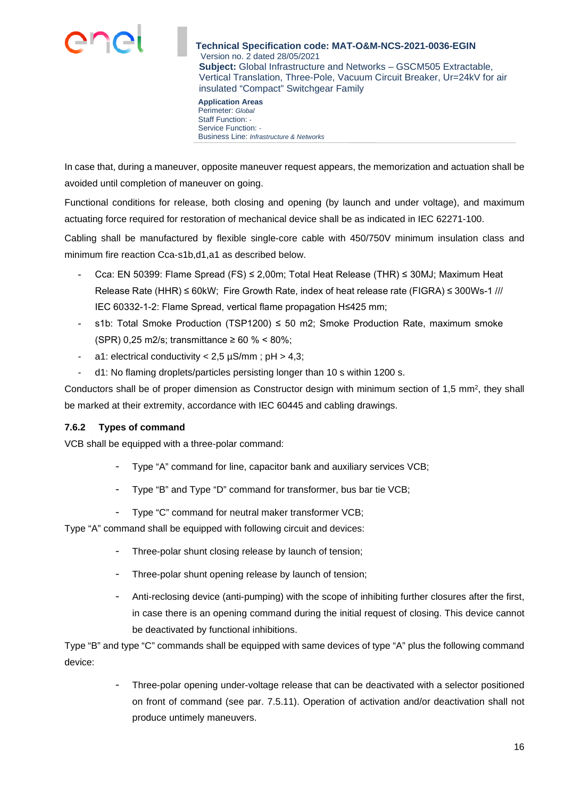

Perimeter: *Global* Staff Function: *-*  Service Function: *-*  Business Line: *Infrastructure & Networks*

In case that, during a maneuver, opposite maneuver request appears, the memorization and actuation shall be avoided until completion of maneuver on going.

Functional conditions for release, both closing and opening (by launch and under voltage), and maximum actuating force required for restoration of mechanical device shall be as indicated in IEC 62271-100.

Cabling shall be manufactured by flexible single-core cable with 450/750V minimum insulation class and minimum fire reaction Cca‐s1b,d1,a1 as described below.

- Cca: EN 50399: Flame Spread (FS) ≤ 2,00m; Total Heat Release (THR) ≤ 30MJ; Maximum Heat Release Rate (HHR) ≤ 60kW; Fire Growth Rate, index of heat release rate (FIGRA) ≤ 300Ws-1 /// IEC 60332-1-2: Flame Spread, vertical flame propagation H≤425 mm;
- s1b: Total Smoke Production (TSP1200)  $\leq$  50 m2; Smoke Production Rate, maximum smoke (SPR) 0,25 m2/s; transmittance ≥ 60 % < 80%;
- a1: electrical conductivity  $< 2.5 \mu S/mm$ ; pH  $> 4.3$ ;
- d1: No flaming droplets/particles persisting longer than 10 s within 1200 s.

Conductors shall be of proper dimension as Constructor design with minimum section of 1,5 mm<sup>2</sup>, they shall be marked at their extremity, accordance with IEC 60445 and cabling drawings.

## **7.6.2 Types of command**

VCB shall be equipped with a three-polar command:

- Type "A" command for line, capacitor bank and auxiliary services VCB;
- Type "B" and Type "D" command for transformer, bus bar tie VCB;
- Type "C" command for neutral maker transformer VCB;

Type "A" command shall be equipped with following circuit and devices:

- Three-polar shunt closing release by launch of tension;
- Three-polar shunt opening release by launch of tension;
- Anti-reclosing device (anti-pumping) with the scope of inhibiting further closures after the first, in case there is an opening command during the initial request of closing. This device cannot be deactivated by functional inhibitions.

Type "B" and type "C" commands shall be equipped with same devices of type "A" plus the following command device:

> Three-polar opening under-voltage release that can be deactivated with a selector positioned on front of command (see par. 7.5.11). Operation of activation and/or deactivation shall not produce untimely maneuvers.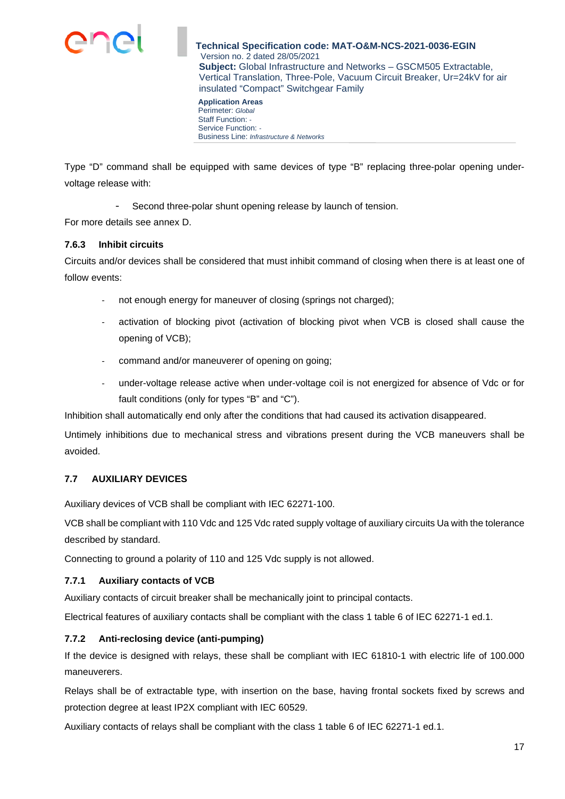

Perimeter: *Global* Staff Function: *-*  Service Function: *-*  Business Line: *Infrastructure & Networks*

Type "D" command shall be equipped with same devices of type "B" replacing three-polar opening undervoltage release with:

Second three-polar shunt opening release by launch of tension.

For more details see annex D.

## **7.6.3 Inhibit circuits**

Circuits and/or devices shall be considered that must inhibit command of closing when there is at least one of follow events:

- not enough energy for maneuver of closing (springs not charged);
- activation of blocking pivot (activation of blocking pivot when VCB is closed shall cause the opening of VCB);
- command and/or maneuverer of opening on going;
- under-voltage release active when under-voltage coil is not energized for absence of Vdc or for fault conditions (only for types "B" and "C").

Inhibition shall automatically end only after the conditions that had caused its activation disappeared.

Untimely inhibitions due to mechanical stress and vibrations present during the VCB maneuvers shall be avoided.

## **7.7 AUXILIARY DEVICES**

Auxiliary devices of VCB shall be compliant with IEC 62271-100.

VCB shall be compliant with 110 Vdc and 125 Vdc rated supply voltage of auxiliary circuits Ua with the tolerance described by standard.

Connecting to ground a polarity of 110 and 125 Vdc supply is not allowed.

### **7.7.1 Auxiliary contacts of VCB**

Auxiliary contacts of circuit breaker shall be mechanically joint to principal contacts.

Electrical features of auxiliary contacts shall be compliant with the class 1 table 6 of IEC 62271-1 ed.1.

## **7.7.2 Anti-reclosing device (anti-pumping)**

If the device is designed with relays, these shall be compliant with IEC 61810-1 with electric life of 100.000 maneuverers.

Relays shall be of extractable type, with insertion on the base, having frontal sockets fixed by screws and protection degree at least IP2X compliant with IEC 60529.

Auxiliary contacts of relays shall be compliant with the class 1 table 6 of IEC 62271-1 ed.1.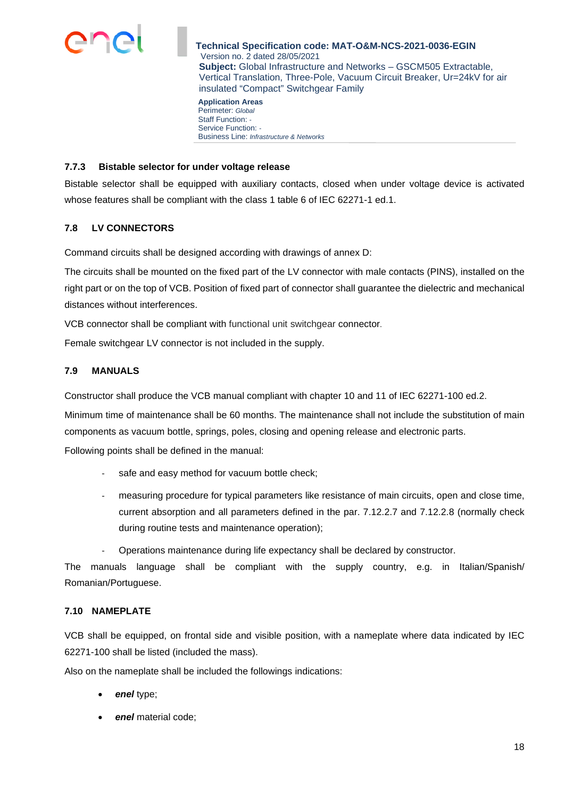

**Application Areas**  Perimeter: *Global* Staff Function: *-*  Service Function: *-*  Business Line: *Infrastructure & Networks*

#### **7.7.3 Bistable selector for under voltage release**

Bistable selector shall be equipped with auxiliary contacts, closed when under voltage device is activated whose features shall be compliant with the class 1 table 6 of IEC 62271-1 ed.1.

### **7.8 LV CONNECTORS**

Command circuits shall be designed according with drawings of annex D:

The circuits shall be mounted on the fixed part of the LV connector with male contacts (PINS), installed on the right part or on the top of VCB. Position of fixed part of connector shall guarantee the dielectric and mechanical distances without interferences.

VCB connector shall be compliant with functional unit switchgear connector.

Female switchgear LV connector is not included in the supply.

### **7.9 MANUALS**

Constructor shall produce the VCB manual compliant with chapter 10 and 11 of IEC 62271-100 ed.2.

Minimum time of maintenance shall be 60 months. The maintenance shall not include the substitution of main components as vacuum bottle, springs, poles, closing and opening release and electronic parts.

Following points shall be defined in the manual:

- safe and easy method for vacuum bottle check;
- measuring procedure for typical parameters like resistance of main circuits, open and close time, current absorption and all parameters defined in the par. 7.12.2.7 and 7.12.2.8 (normally check during routine tests and maintenance operation);
- Operations maintenance during life expectancy shall be declared by constructor.

The manuals language shall be compliant with the supply country, e.g. in Italian/Spanish/ Romanian/Portuguese.

#### **7.10 NAMEPLATE**

VCB shall be equipped, on frontal side and visible position, with a nameplate where data indicated by IEC 62271-100 shall be listed (included the mass).

Also on the nameplate shall be included the followings indications:

- *enel* type;
- *enel* material code;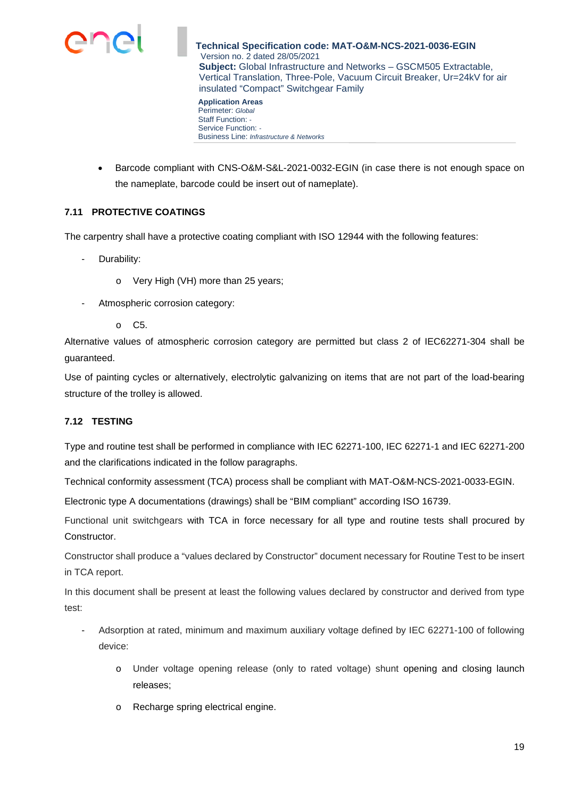

**Application Areas**  Perimeter: *Global* Staff Function: *-*  Service Function: *-*  Business Line: *Infrastructure & Networks*

 Barcode compliant with CNS-O&M-S&L-2021-0032-EGIN (in case there is not enough space on the nameplate, barcode could be insert out of nameplate).

## **7.11 PROTECTIVE COATINGS**

The carpentry shall have a protective coating compliant with ISO 12944 with the following features:

- Durability:
	- o Very High (VH) more than 25 years;
- Atmospheric corrosion category:
	- $\circ$  C<sub>5</sub>

Alternative values of atmospheric corrosion category are permitted but class 2 of IEC62271-304 shall be guaranteed.

Use of painting cycles or alternatively, electrolytic galvanizing on items that are not part of the load-bearing structure of the trolley is allowed.

## **7.12 TESTING**

Type and routine test shall be performed in compliance with IEC 62271-100, IEC 62271-1 and IEC 62271-200 and the clarifications indicated in the follow paragraphs.

Technical conformity assessment (TCA) process shall be compliant with MAT-O&M-NCS-2021-0033-EGIN.

Electronic type A documentations (drawings) shall be "BIM compliant" according ISO 16739.

Functional unit switchgears with TCA in force necessary for all type and routine tests shall procured by Constructor.

Constructor shall produce a "values declared by Constructor" document necessary for Routine Test to be insert in TCA report.

In this document shall be present at least the following values declared by constructor and derived from type test:

- Adsorption at rated, minimum and maximum auxiliary voltage defined by IEC 62271-100 of following device:
	- o Under voltage opening release (only to rated voltage) shunt opening and closing launch releases;
	- o Recharge spring electrical engine.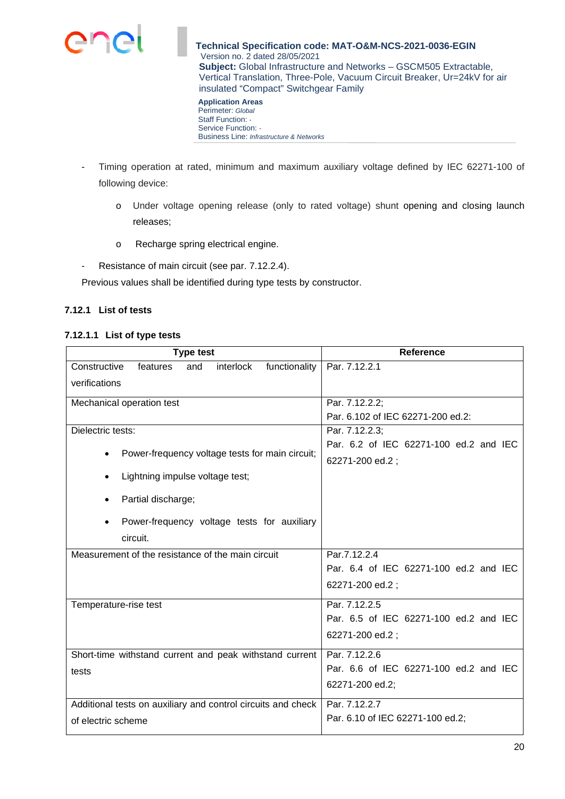

Perimeter: *Global* Staff Function: *-*  Service Function: *-*  Business Line: *Infrastructure & Networks*

- Timing operation at rated, minimum and maximum auxiliary voltage defined by IEC 62271-100 of following device:
	- o Under voltage opening release (only to rated voltage) shunt opening and closing launch releases;
	- o Recharge spring electrical engine.
- Resistance of main circuit (see par. 7.12.2.4).

Previous values shall be identified during type tests by constructor.

## **7.12.1 List of tests**

#### **7.12.1.1 List of type tests**

| <b>Type test</b>                                              | <b>Reference</b>                       |  |  |
|---------------------------------------------------------------|----------------------------------------|--|--|
| Constructive<br>functionality<br>features<br>and<br>interlock | Par. 7.12.2.1                          |  |  |
| verifications                                                 |                                        |  |  |
| Mechanical operation test                                     | Par. 7.12.2.2;                         |  |  |
|                                                               | Par. 6.102 of IEC 62271-200 ed.2:      |  |  |
| Dielectric tests:                                             | Par. 7.12.2.3;                         |  |  |
| Power-frequency voltage tests for main circuit;               | Par. 6.2 of IEC 62271-100 ed.2 and IEC |  |  |
|                                                               | 62271-200 ed.2;                        |  |  |
| Lightning impulse voltage test;                               |                                        |  |  |
| Partial discharge;                                            |                                        |  |  |
|                                                               |                                        |  |  |
| Power-frequency voltage tests for auxiliary                   |                                        |  |  |
| circuit.                                                      |                                        |  |  |
| Measurement of the resistance of the main circuit             | Par.7.12.2.4                           |  |  |
|                                                               | Par. 6.4 of IEC 62271-100 ed.2 and IEC |  |  |
|                                                               | 62271-200 ed.2;                        |  |  |
| Temperature-rise test                                         | Par. 7.12.2.5                          |  |  |
|                                                               | Par. 6.5 of IEC 62271-100 ed.2 and IEC |  |  |
|                                                               | 62271-200 ed.2;                        |  |  |
| Short-time withstand current and peak withstand current       | Par. 7.12.2.6                          |  |  |
| tests                                                         | Par. 6.6 of IEC 62271-100 ed.2 and IEC |  |  |
|                                                               | 62271-200 ed.2;                        |  |  |
| Additional tests on auxiliary and control circuits and check  | Par. 7.12.2.7                          |  |  |
| of electric scheme                                            | Par. 6.10 of IEC 62271-100 ed.2;       |  |  |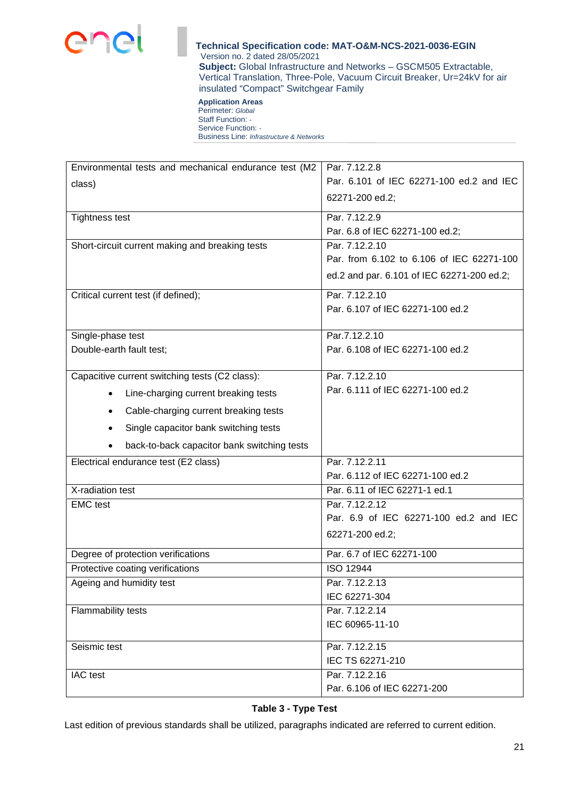

#### **Application Areas**  Perimeter: *Global* Staff Function: *-*  Service Function: *-*  Business Line: *Infrastructure & Networks*

| Environmental tests and mechanical endurance test (M2 | Par. 7.12.2.8                              |  |  |  |
|-------------------------------------------------------|--------------------------------------------|--|--|--|
| class)                                                | Par. 6.101 of IEC 62271-100 ed.2 and IEC   |  |  |  |
|                                                       | 62271-200 ed.2;                            |  |  |  |
| <b>Tightness test</b>                                 | Par. 7.12.2.9                              |  |  |  |
|                                                       | Par. 6.8 of IEC 62271-100 ed.2;            |  |  |  |
| Short-circuit current making and breaking tests       | Par. 7.12.2.10                             |  |  |  |
|                                                       | Par. from 6.102 to 6.106 of IEC 62271-100  |  |  |  |
|                                                       | ed.2 and par. 6.101 of IEC 62271-200 ed.2; |  |  |  |
| Critical current test (if defined);                   | Par. 7.12.2.10                             |  |  |  |
|                                                       | Par. 6.107 of IEC 62271-100 ed.2           |  |  |  |
| Single-phase test                                     | Par.7.12.2.10                              |  |  |  |
| Double-earth fault test;                              | Par. 6.108 of IEC 62271-100 ed.2           |  |  |  |
|                                                       |                                            |  |  |  |
| Capacitive current switching tests (C2 class):        | Par. 7.12.2.10                             |  |  |  |
| Line-charging current breaking tests<br>$\bullet$     | Par. 6.111 of IEC 62271-100 ed.2           |  |  |  |
| Cable-charging current breaking tests<br>$\bullet$    |                                            |  |  |  |
| Single capacitor bank switching tests<br>٠            |                                            |  |  |  |
| back-to-back capacitor bank switching tests           |                                            |  |  |  |
| Electrical endurance test (E2 class)                  | Par. 7.12.2.11                             |  |  |  |
|                                                       | Par. 6.112 of IEC 62271-100 ed.2           |  |  |  |
| X-radiation test                                      | Par. 6.11 of IEC 62271-1 ed.1              |  |  |  |
| <b>EMC</b> test                                       | Par. 7.12.2.12                             |  |  |  |
|                                                       | Par. 6.9 of IEC 62271-100 ed.2 and IEC     |  |  |  |
|                                                       | 62271-200 ed.2;                            |  |  |  |
| Degree of protection verifications                    | Par. 6.7 of IEC 62271-100                  |  |  |  |
| Protective coating verifications                      | <b>ISO 12944</b>                           |  |  |  |
| Ageing and humidity test                              | Par. 7.12.2.13                             |  |  |  |
|                                                       | IEC 62271-304                              |  |  |  |
| Flammability tests                                    | Par. 7.12.2.14                             |  |  |  |
|                                                       | IEC 60965-11-10                            |  |  |  |
| Seismic test                                          | Par. 7.12.2.15                             |  |  |  |
|                                                       | IEC TS 62271-210                           |  |  |  |
| IAC test                                              | Par. 7.12.2.16                             |  |  |  |
|                                                       | Par. 6.106 of IEC 62271-200                |  |  |  |
|                                                       |                                            |  |  |  |

## **Table 3 - Type Test**

Last edition of previous standards shall be utilized, paragraphs indicated are referred to current edition.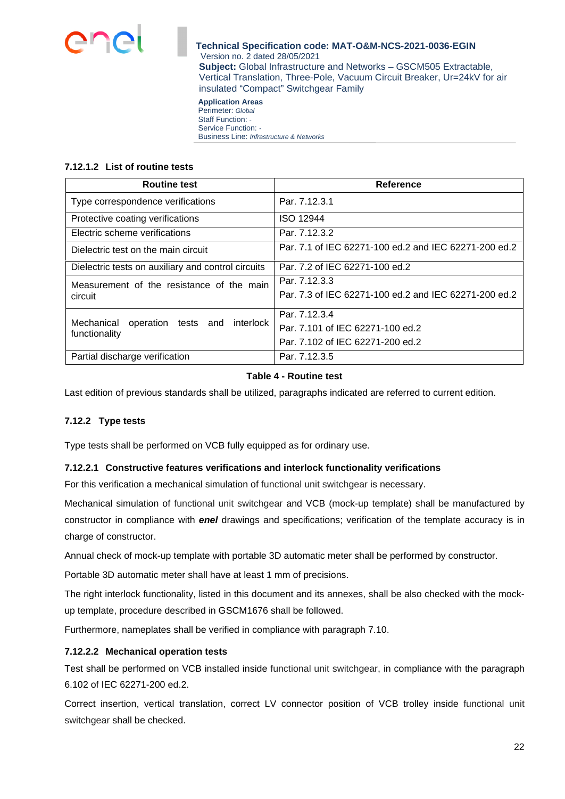

**Application Areas**  Perimeter: *Global* Staff Function: *-*  Service Function: *-*  Business Line: *Infrastructure & Networks*

### **7.12.1.2 List of routine tests**

| <b>Routine test</b>                                             | <b>Reference</b>                                      |  |  |  |  |
|-----------------------------------------------------------------|-------------------------------------------------------|--|--|--|--|
| Type correspondence verifications                               | Par. 7.12.3.1                                         |  |  |  |  |
| Protective coating verifications                                | <b>ISO 12944</b>                                      |  |  |  |  |
| Electric scheme verifications                                   | Par. 7.12.3.2                                         |  |  |  |  |
| Dielectric test on the main circuit                             | Par. 7.1 of IEC 62271-100 ed.2 and IEC 62271-200 ed.2 |  |  |  |  |
| Dielectric tests on auxiliary and control circuits              | Par. 7.2 of IEC 62271-100 ed.2                        |  |  |  |  |
| Measurement of the resistance of the main                       | Par. 7.12.3.3                                         |  |  |  |  |
| circuit                                                         | Par. 7.3 of IEC 62271-100 ed.2 and IEC 62271-200 ed.2 |  |  |  |  |
|                                                                 | Par. 7.12.3.4                                         |  |  |  |  |
| Mechanical<br>operation tests and<br>interlock<br>functionality | Par. 7.101 of IEC 62271-100 ed.2                      |  |  |  |  |
|                                                                 | Par. 7.102 of IEC 62271-200 ed.2                      |  |  |  |  |
| Partial discharge verification                                  | Par. 7.12.3.5                                         |  |  |  |  |

## **Table 4 - Routine test**

Last edition of previous standards shall be utilized, paragraphs indicated are referred to current edition.

### **7.12.2 Type tests**

Type tests shall be performed on VCB fully equipped as for ordinary use.

### **7.12.2.1 Constructive features verifications and interlock functionality verifications**

For this verification a mechanical simulation of functional unit switchgear is necessary.

Mechanical simulation of functional unit switchgear and VCB (mock-up template) shall be manufactured by constructor in compliance with *enel* drawings and specifications; verification of the template accuracy is in charge of constructor.

Annual check of mock-up template with portable 3D automatic meter shall be performed by constructor.

Portable 3D automatic meter shall have at least 1 mm of precisions.

The right interlock functionality, listed in this document and its annexes, shall be also checked with the mockup template, procedure described in GSCM1676 shall be followed.

Furthermore, nameplates shall be verified in compliance with paragraph 7.10.

### **7.12.2.2 Mechanical operation tests**

Test shall be performed on VCB installed inside functional unit switchgear, in compliance with the paragraph 6.102 of IEC 62271-200 ed.2.

Correct insertion, vertical translation, correct LV connector position of VCB trolley inside functional unit switchgear shall be checked.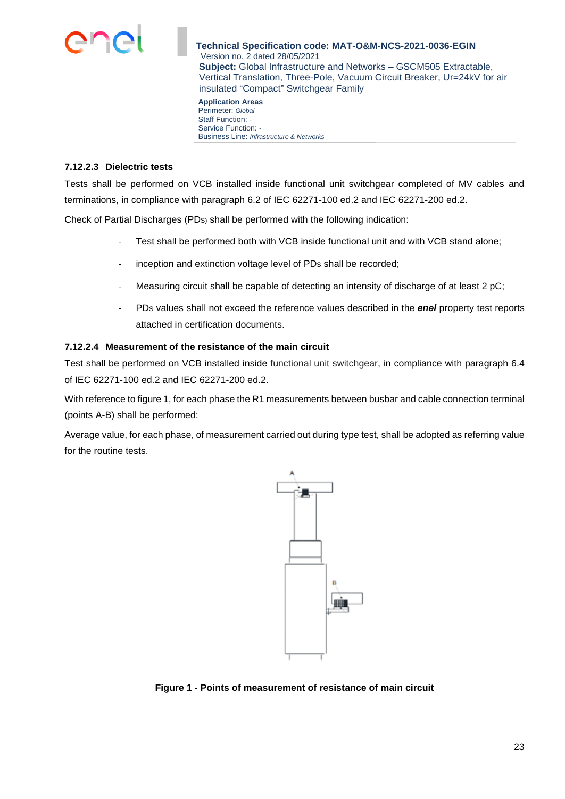

**Application Areas**  Perimeter: *Global* Staff Function: *-*  Service Function: *-*  Business Line: *Infrastructure & Networks*

### **7.12.2.3 Dielectric tests**

Tests shall be performed on VCB installed inside functional unit switchgear completed of MV cables and terminations, in compliance with paragraph 6.2 of IEC 62271-100 ed.2 and IEC 62271-200 ed.2.

Check of Partial Discharges (PDS) shall be performed with the following indication:

- Test shall be performed both with VCB inside functional unit and with VCB stand alone;
- inception and extinction voltage level of PDs shall be recorded;
- Measuring circuit shall be capable of detecting an intensity of discharge of at least  $2 pC$ ;
- PDS values shall not exceed the reference values described in the *enel* property test reports attached in certification documents.

### **7.12.2.4 Measurement of the resistance of the main circuit**

Test shall be performed on VCB installed inside functional unit switchgear, in compliance with paragraph 6.4 of IEC 62271-100 ed.2 and IEC 62271-200 ed.2.

With reference to figure 1, for each phase the R1 measurements between busbar and cable connection terminal (points A-B) shall be performed:

Average value, for each phase, of measurement carried out during type test, shall be adopted as referring value for the routine tests.



**Figure 1 - Points of measurement of resistance of main circuit**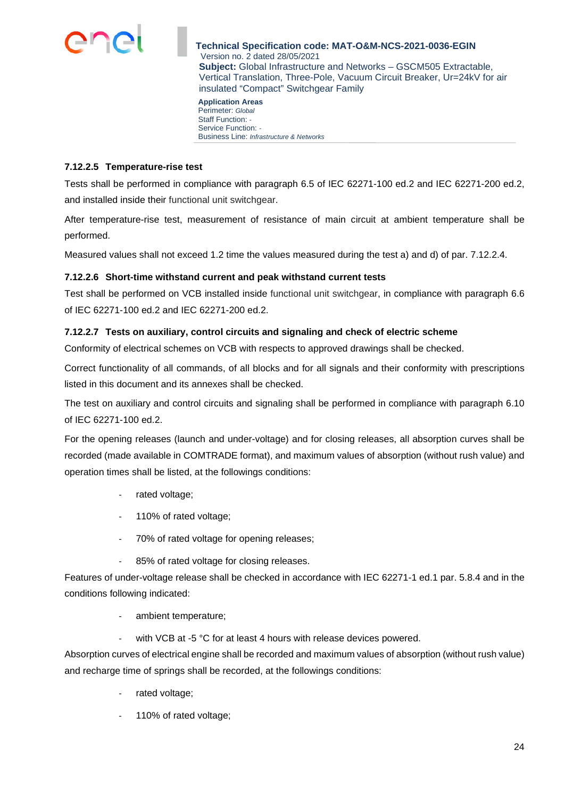

**Application Areas**  Perimeter: *Global* Staff Function: *-*  Service Function: *-*  Business Line: *Infrastructure & Networks*

## **7.12.2.5 Temperature-rise test**

Tests shall be performed in compliance with paragraph 6.5 of IEC 62271-100 ed.2 and IEC 62271-200 ed.2, and installed inside their functional unit switchgear.

After temperature-rise test, measurement of resistance of main circuit at ambient temperature shall be performed.

Measured values shall not exceed 1.2 time the values measured during the test a) and d) of par. 7.12.2.4.

## **7.12.2.6 Short-time withstand current and peak withstand current tests**

Test shall be performed on VCB installed inside functional unit switchgear, in compliance with paragraph 6.6 of IEC 62271-100 ed.2 and IEC 62271-200 ed.2.

## **7.12.2.7 Tests on auxiliary, control circuits and signaling and check of electric scheme**

Conformity of electrical schemes on VCB with respects to approved drawings shall be checked.

Correct functionality of all commands, of all blocks and for all signals and their conformity with prescriptions listed in this document and its annexes shall be checked.

The test on auxiliary and control circuits and signaling shall be performed in compliance with paragraph 6.10 of IEC 62271-100 ed.2.

For the opening releases (launch and under-voltage) and for closing releases, all absorption curves shall be recorded (made available in COMTRADE format), and maximum values of absorption (without rush value) and operation times shall be listed, at the followings conditions:

- rated voltage;
- 110% of rated voltage;
- 70% of rated voltage for opening releases;
- 85% of rated voltage for closing releases.

Features of under-voltage release shall be checked in accordance with IEC 62271-1 ed.1 par. 5.8.4 and in the conditions following indicated:

- ambient temperature;
- with VCB at -5 °C for at least 4 hours with release devices powered.

Absorption curves of electrical engine shall be recorded and maximum values of absorption (without rush value) and recharge time of springs shall be recorded, at the followings conditions:

- rated voltage;
- 110% of rated voltage;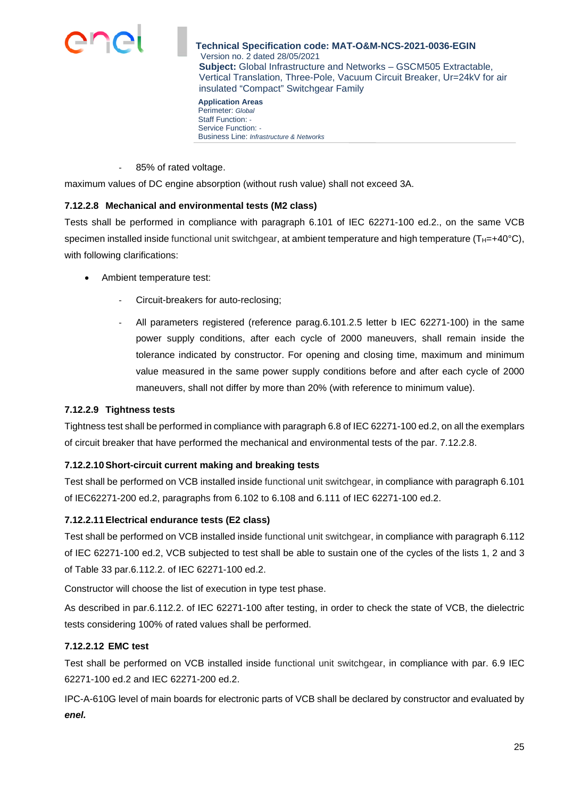

**Application Areas**  Perimeter: *Global* Staff Function: *-*  Service Function: *-*  Business Line: *Infrastructure & Networks*

85% of rated voltage.

maximum values of DC engine absorption (without rush value) shall not exceed 3A.

## **7.12.2.8 Mechanical and environmental tests (M2 class)**

Tests shall be performed in compliance with paragraph 6.101 of IEC 62271-100 ed.2., on the same VCB specimen installed inside functional unit switchgear, at ambient temperature and high temperature ( $T_{H}=+40^{\circ}C$ ), with following clarifications:

- Ambient temperature test:
	- Circuit-breakers for auto-reclosing;
	- All parameters registered (reference parag.6.101.2.5 letter b IEC 62271-100) in the same power supply conditions, after each cycle of 2000 maneuvers, shall remain inside the tolerance indicated by constructor. For opening and closing time, maximum and minimum value measured in the same power supply conditions before and after each cycle of 2000 maneuvers, shall not differ by more than 20% (with reference to minimum value).

### **7.12.2.9 Tightness tests**

Tightness test shall be performed in compliance with paragraph 6.8 of IEC 62271-100 ed.2, on all the exemplars of circuit breaker that have performed the mechanical and environmental tests of the par. 7.12.2.8.

### **7.12.2.10 Short-circuit current making and breaking tests**

Test shall be performed on VCB installed inside functional unit switchgear, in compliance with paragraph 6.101 of IEC62271-200 ed.2, paragraphs from 6.102 to 6.108 and 6.111 of IEC 62271-100 ed.2.

### **7.12.2.11 Electrical endurance tests (E2 class)**

Test shall be performed on VCB installed inside functional unit switchgear, in compliance with paragraph 6.112 of IEC 62271-100 ed.2, VCB subjected to test shall be able to sustain one of the cycles of the lists 1, 2 and 3 of Table 33 par.6.112.2. of IEC 62271-100 ed.2.

Constructor will choose the list of execution in type test phase.

As described in par.6.112.2. of IEC 62271-100 after testing, in order to check the state of VCB, the dielectric tests considering 100% of rated values shall be performed.

### **7.12.2.12 EMC test**

Test shall be performed on VCB installed inside functional unit switchgear, in compliance with par. 6.9 IEC 62271-100 ed.2 and IEC 62271-200 ed.2.

IPC-A-610G level of main boards for electronic parts of VCB shall be declared by constructor and evaluated by *enel.*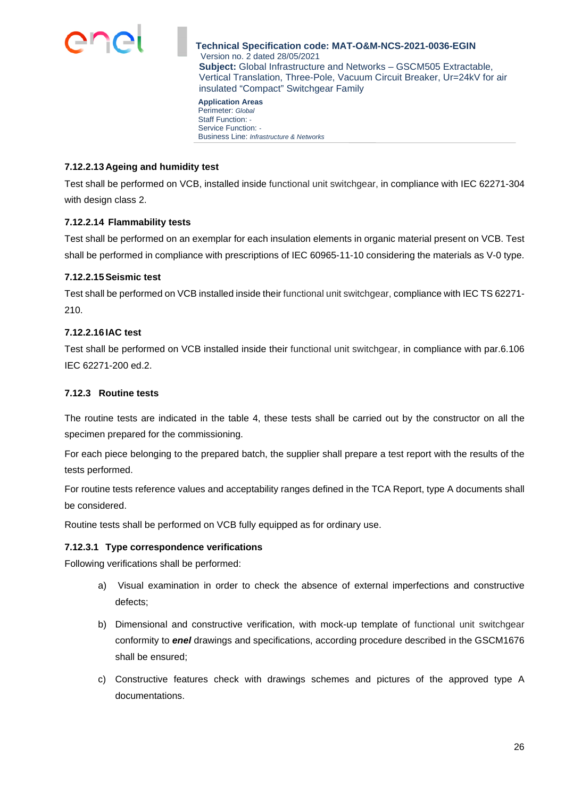

**Application Areas**  Perimeter: *Global* Staff Function: *-*  Service Function: *-*  Business Line: *Infrastructure & Networks*

## **7.12.2.13 Ageing and humidity test**

Test shall be performed on VCB, installed inside functional unit switchgear, in compliance with IEC 62271-304 with design class 2.

## **7.12.2.14 Flammability tests**

Test shall be performed on an exemplar for each insulation elements in organic material present on VCB. Test shall be performed in compliance with prescriptions of IEC 60965-11-10 considering the materials as V-0 type.

## **7.12.2.15 Seismic test**

Test shall be performed on VCB installed inside their functional unit switchgear, compliance with IEC TS 62271- 210.

## **7.12.2.16 IAC test**

Test shall be performed on VCB installed inside their functional unit switchgear, in compliance with par.6.106 IEC 62271-200 ed.2.

## **7.12.3 Routine tests**

The routine tests are indicated in the table 4, these tests shall be carried out by the constructor on all the specimen prepared for the commissioning.

For each piece belonging to the prepared batch, the supplier shall prepare a test report with the results of the tests performed.

For routine tests reference values and acceptability ranges defined in the TCA Report, type A documents shall be considered.

Routine tests shall be performed on VCB fully equipped as for ordinary use.

### **7.12.3.1 Type correspondence verifications**

Following verifications shall be performed:

- a) Visual examination in order to check the absence of external imperfections and constructive defects;
- b) Dimensional and constructive verification, with mock-up template of functional unit switchgear conformity to *enel* drawings and specifications, according procedure described in the GSCM1676 shall be ensured;
- c) Constructive features check with drawings schemes and pictures of the approved type A documentations.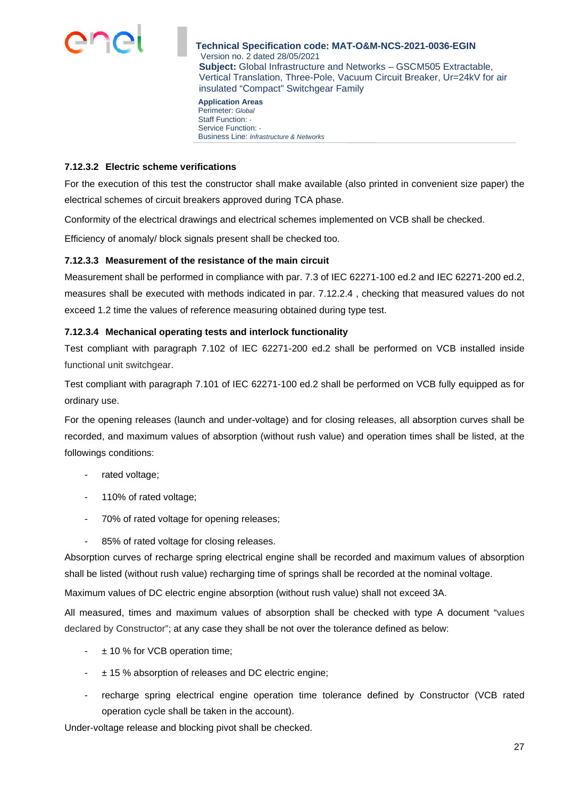

**Application Areas**  Perimeter: *Global* Staff Function: *-*  Service Function: *-*  Business Line: *Infrastructure & Networks*

## **7.12.3.2 Electric scheme verifications**

For the execution of this test the constructor shall make available (also printed in convenient size paper) the electrical schemes of circuit breakers approved during TCA phase.

Conformity of the electrical drawings and electrical schemes implemented on VCB shall be checked.

Efficiency of anomaly/ block signals present shall be checked too.

## **7.12.3.3 Measurement of the resistance of the main circuit**

Measurement shall be performed in compliance with par. 7.3 of IEC 62271-100 ed.2 and IEC 62271-200 ed.2, measures shall be executed with methods indicated in par. 7.12.2.4 , checking that measured values do not exceed 1.2 time the values of reference measuring obtained during type test.

## **7.12.3.4 Mechanical operating tests and interlock functionality**

Test compliant with paragraph 7.102 of IEC 62271-200 ed.2 shall be performed on VCB installed inside functional unit switchgear.

Test compliant with paragraph 7.101 of IEC 62271-100 ed.2 shall be performed on VCB fully equipped as for ordinary use.

For the opening releases (launch and under-voltage) and for closing releases, all absorption curves shall be recorded, and maximum values of absorption (without rush value) and operation times shall be listed, at the followings conditions:

- rated voltage;
- 110% of rated voltage;
- 70% of rated voltage for opening releases;
- 85% of rated voltage for closing releases.

Absorption curves of recharge spring electrical engine shall be recorded and maximum values of absorption shall be listed (without rush value) recharging time of springs shall be recorded at the nominal voltage.

Maximum values of DC electric engine absorption (without rush value) shall not exceed 3A.

All measured, times and maximum values of absorption shall be checked with type A document "values declared by Constructor"; at any case they shall be not over the tolerance defined as below:

- $\pm$  10 % for VCB operation time;
- ± 15 % absorption of releases and DC electric engine;
- recharge spring electrical engine operation time tolerance defined by Constructor (VCB rated operation cycle shall be taken in the account).

Under-voltage release and blocking pivot shall be checked.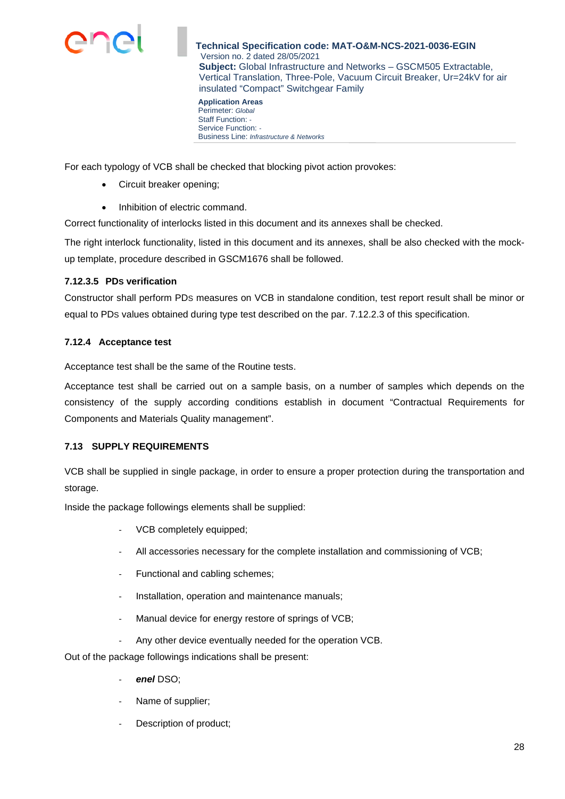

**Application Areas**  Perimeter: *Global* Staff Function: *-*  Service Function: *-*  Business Line: *Infrastructure & Networks*

For each typology of VCB shall be checked that blocking pivot action provokes:

- Circuit breaker opening;
- Inhibition of electric command.

Correct functionality of interlocks listed in this document and its annexes shall be checked.

The right interlock functionality, listed in this document and its annexes, shall be also checked with the mockup template, procedure described in GSCM1676 shall be followed.

## **7.12.3.5 PDS verification**

Constructor shall perform PDS measures on VCB in standalone condition, test report result shall be minor or equal to PDS values obtained during type test described on the par. 7.12.2.3 of this specification.

## **7.12.4 Acceptance test**

Acceptance test shall be the same of the Routine tests.

Acceptance test shall be carried out on a sample basis, on a number of samples which depends on the consistency of the supply according conditions establish in document "Contractual Requirements for Components and Materials Quality management".

## **7.13 SUPPLY REQUIREMENTS**

VCB shall be supplied in single package, in order to ensure a proper protection during the transportation and storage.

Inside the package followings elements shall be supplied:

- VCB completely equipped;
- All accessories necessary for the complete installation and commissioning of VCB;
- Functional and cabling schemes;
- Installation, operation and maintenance manuals;
- Manual device for energy restore of springs of VCB;
- Any other device eventually needed for the operation VCB.

Out of the package followings indications shall be present:

- *enel* DSO;
- Name of supplier;
- Description of product;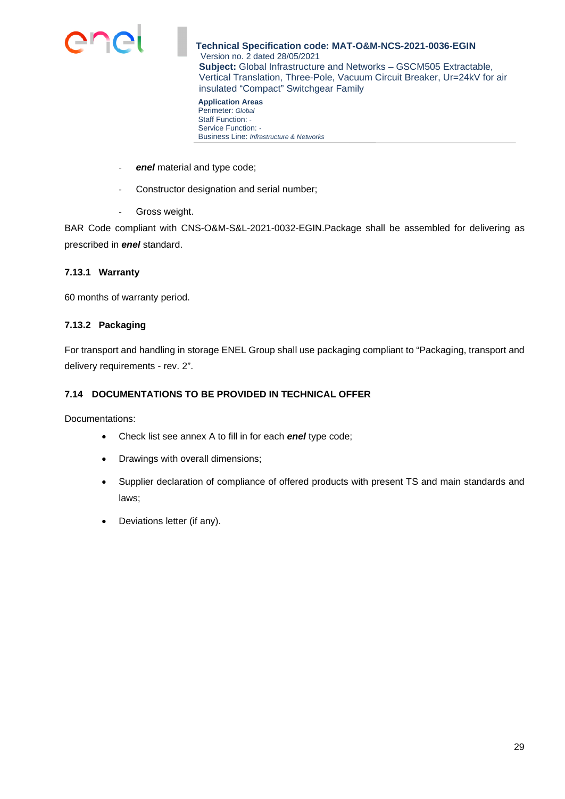

**Application Areas**  Perimeter: *Global* Staff Function: *-*  Service Function: *-*  Business Line: *Infrastructure & Networks*

- enel material and type code;
- Constructor designation and serial number;
- Gross weight.

BAR Code compliant with CNS-O&M-S&L-2021-0032-EGIN.Package shall be assembled for delivering as prescribed in *enel* standard.

### **7.13.1 Warranty**

60 months of warranty period.

#### **7.13.2 Packaging**

For transport and handling in storage ENEL Group shall use packaging compliant to "Packaging, transport and delivery requirements - rev. 2".

## **7.14 DOCUMENTATIONS TO BE PROVIDED IN TECHNICAL OFFER**

Documentations:

- Check list see annex A to fill in for each *enel* type code;
- Drawings with overall dimensions;
- Supplier declaration of compliance of offered products with present TS and main standards and laws;
- Deviations letter (if any).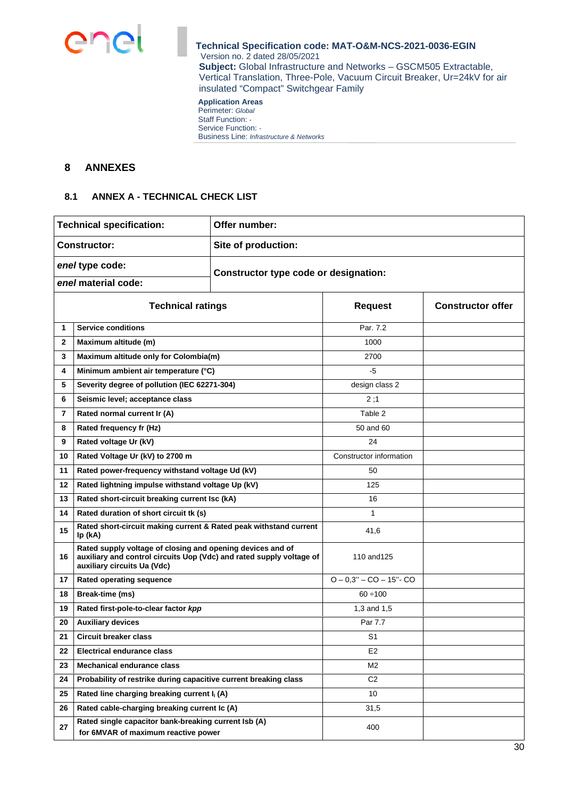

#### **Application Areas**  Perimeter: *Global* Staff Function: *-*  Service Function: *-*  Business Line: *Infrastructure & Networks*

## **8 ANNEXES**

### **8.1 ANNEX A - TECHNICAL CHECK LIST**

|                                                          | <b>Technical specification:</b>                                                                                                                                   | Offer number:       |                            |  |  |  |
|----------------------------------------------------------|-------------------------------------------------------------------------------------------------------------------------------------------------------------------|---------------------|----------------------------|--|--|--|
|                                                          | <b>Constructor:</b>                                                                                                                                               | Site of production: |                            |  |  |  |
| enel type code:<br>Constructor type code or designation: |                                                                                                                                                                   |                     |                            |  |  |  |
| enel material code:                                      |                                                                                                                                                                   |                     |                            |  |  |  |
| <b>Technical ratings</b>                                 |                                                                                                                                                                   | <b>Request</b>      | <b>Constructor offer</b>   |  |  |  |
| 1                                                        | <b>Service conditions</b>                                                                                                                                         |                     | Par. 7.2                   |  |  |  |
| $\mathbf{2}$                                             | Maximum altitude (m)                                                                                                                                              |                     | 1000                       |  |  |  |
| 3                                                        | Maximum altitude only for Colombia(m)                                                                                                                             |                     | 2700                       |  |  |  |
| 4                                                        | Minimum ambient air temperature (°C)                                                                                                                              |                     | $-5$                       |  |  |  |
| 5                                                        | Severity degree of pollution (IEC 62271-304)                                                                                                                      |                     | design class 2             |  |  |  |
| 6                                                        | Seismic level; acceptance class                                                                                                                                   |                     | 2;1                        |  |  |  |
| $\overline{7}$                                           | Rated normal current Ir (A)                                                                                                                                       |                     | Table 2                    |  |  |  |
| 8                                                        | Rated frequency fr (Hz)                                                                                                                                           |                     | 50 and 60                  |  |  |  |
| 9                                                        | Rated voltage Ur (kV)                                                                                                                                             |                     | 24                         |  |  |  |
| 10                                                       | Rated Voltage Ur (kV) to 2700 m                                                                                                                                   |                     | Constructor information    |  |  |  |
| 11                                                       | Rated power-frequency withstand voltage Ud (kV)                                                                                                                   |                     | 50                         |  |  |  |
| 12                                                       | Rated lightning impulse withstand voltage Up (kV)                                                                                                                 |                     | 125                        |  |  |  |
| 13                                                       | Rated short-circuit breaking current Isc (kA)                                                                                                                     |                     | 16                         |  |  |  |
| 14                                                       | Rated duration of short circuit tk (s)                                                                                                                            |                     | 1                          |  |  |  |
| 15                                                       | Rated short-circuit making current & Rated peak withstand current<br>Ip (kA)                                                                                      |                     | 41,6                       |  |  |  |
| 16                                                       | Rated supply voltage of closing and opening devices and of<br>auxiliary and control circuits Uop (Vdc) and rated supply voltage of<br>auxiliary circuits Ua (Vdc) |                     | 110 and 125                |  |  |  |
| 17                                                       | Rated operating sequence                                                                                                                                          |                     | $O - 0.3" - CO - 15" - CO$ |  |  |  |
| 18                                                       | Break-time (ms)                                                                                                                                                   |                     | $60 \div 100$              |  |  |  |
| 19                                                       | Rated first-pole-to-clear factor kpp                                                                                                                              |                     | 1,3 and 1,5                |  |  |  |
| 20                                                       | <b>Auxiliary devices</b>                                                                                                                                          |                     | Par 7.7                    |  |  |  |
| 21                                                       | <b>Circuit breaker class</b>                                                                                                                                      |                     | S <sub>1</sub>             |  |  |  |
| 22                                                       | <b>Electrical endurance class</b>                                                                                                                                 |                     | E <sub>2</sub>             |  |  |  |
| 23                                                       | <b>Mechanical endurance class</b>                                                                                                                                 |                     | M2                         |  |  |  |
| 24                                                       | Probability of restrike during capacitive current breaking class                                                                                                  |                     | C <sub>2</sub>             |  |  |  |
| 25                                                       | Rated line charging breaking current I <sub>I</sub> (A)                                                                                                           |                     | 10                         |  |  |  |
| 26                                                       | Rated cable-charging breaking current Ic (A)                                                                                                                      |                     | 31,5                       |  |  |  |
| 27                                                       | Rated single capacitor bank-breaking current Isb (A)<br>for 6MVAR of maximum reactive power                                                                       |                     | 400                        |  |  |  |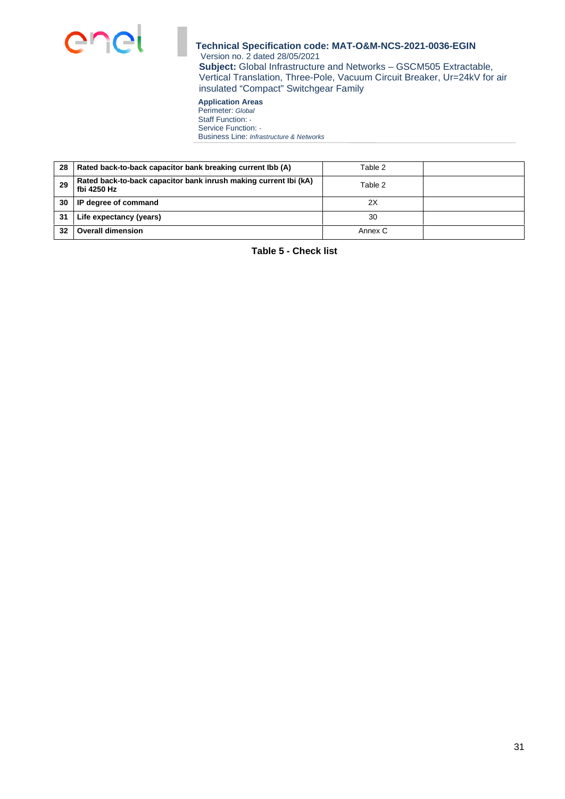

**Application Areas**  Perimeter: *Global* Staff Function: *-*  Service Function: *-*  Business Line: *Infrastructure & Networks*

| 28 | Rated back-to-back capacitor bank breaking current lbb (A)                      | Table 2 |  |
|----|---------------------------------------------------------------------------------|---------|--|
| 29 | Rated back-to-back capacitor bank inrush making current Ibi (kA)<br>fbi 4250 Hz | Table 2 |  |
| 30 | IP degree of command                                                            | 2X      |  |
| 31 | Life expectancy (years)                                                         | 30      |  |
| 32 | <b>Overall dimension</b>                                                        | Annex C |  |

**Table 5 - Check list**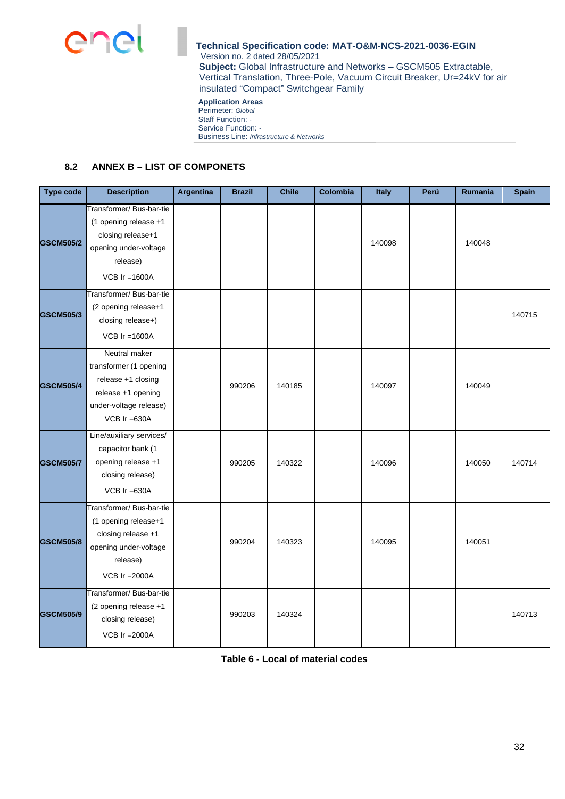

#### **Application Areas**  Perimeter: *Global*

Staff Function: *-*  Service Function: *-* 

Business Line: *Infrastructure & Networks*

## **8.2 ANNEX B – LIST OF COMPONETS**

| <b>Type code</b> | <b>Description</b>                                                                                                              | Argentina | <b>Brazil</b> | <b>Chile</b> | <b>Colombia</b> | Italy  | Perú | Rumania | <b>Spain</b> |
|------------------|---------------------------------------------------------------------------------------------------------------------------------|-----------|---------------|--------------|-----------------|--------|------|---------|--------------|
| <b>GSCM505/2</b> | Transformer/ Bus-bar-tie<br>(1 opening release +1<br>closing release+1<br>opening under-voltage<br>release)<br>VCB $Ir = 1600A$ |           |               |              |                 | 140098 |      | 140048  |              |
| <b>GSCM505/3</b> | Transformer/Bus-bar-tie<br>(2 opening release+1<br>closing release+)<br>VCB $Ir = 1600A$                                        |           |               |              |                 |        |      |         | 140715       |
| <b>GSCM505/4</b> | Neutral maker<br>transformer (1 opening<br>release +1 closing<br>release +1 opening<br>under-voltage release)<br>VCB Ir =630A   |           | 990206        | 140185       |                 | 140097 |      | 140049  |              |
| <b>GSCM505/7</b> | Line/auxiliary services/<br>capacitor bank (1<br>opening release +1<br>closing release)<br>VCB $Ir = 630A$                      |           | 990205        | 140322       |                 | 140096 |      | 140050  | 140714       |
| <b>GSCM505/8</b> | Transformer/ Bus-bar-tie<br>(1 opening release+1<br>closing release +1<br>opening under-voltage<br>release)<br>VCB Ir = 2000A   |           | 990204        | 140323       |                 | 140095 |      | 140051  |              |
| <b>GSCM505/9</b> | Transformer/ Bus-bar-tie<br>(2 opening release +1<br>closing release)<br>VCB $Ir = 2000A$                                       |           | 990203        | 140324       |                 |        |      |         | 140713       |

**Table 6 - Local of material codes**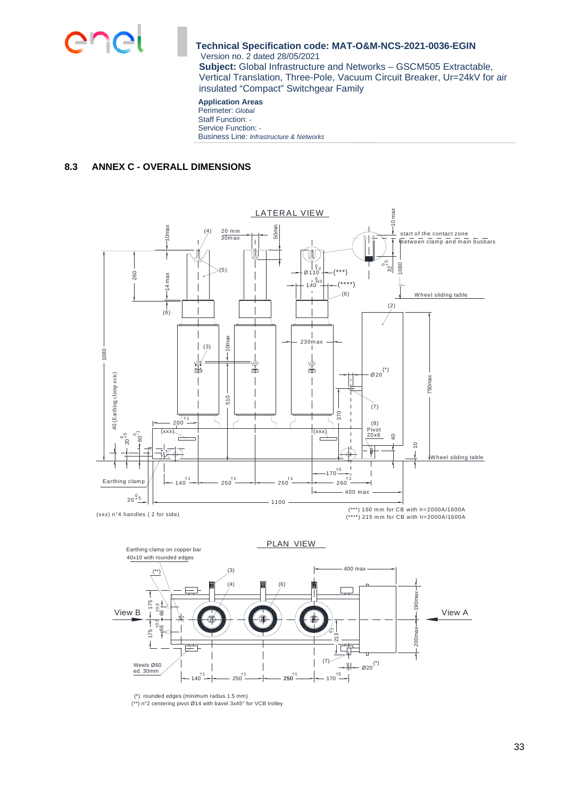

#### **Application Areas**  Perimeter: *Global* Staff Function: *-*  Service Function: *-*  Business Line: *Infrastructure & Networks*

## **8.3 ANNEX C - OVERALL DIMENSIONS**



PLAN VIEW Earthing clamp on copper bar 40x10 with rounded edges400 max (3) (\*\*)  $\overline{A}$ (6)  $\Box$  $\frac{8}{5}$   $\frac{8}{1}$  View A 175 1,965 <del>|</del><br>+66 0,5 View B +- 66 175 200ma 213 |輪 ⊒.  $(7)$  -  $|| - \varnothing 20$ <sup>(\*)</sup> ed. 30mm Weels Ø60  $140^{11}$  $250^{11}$  $250^{+1}$  $170^{15}$ 

(\*) rounded edges (minimum radius 1.5 mm)<br>(\*\*) n°2 centering pivot Ø14 with bavel 3x45° for VCB trolley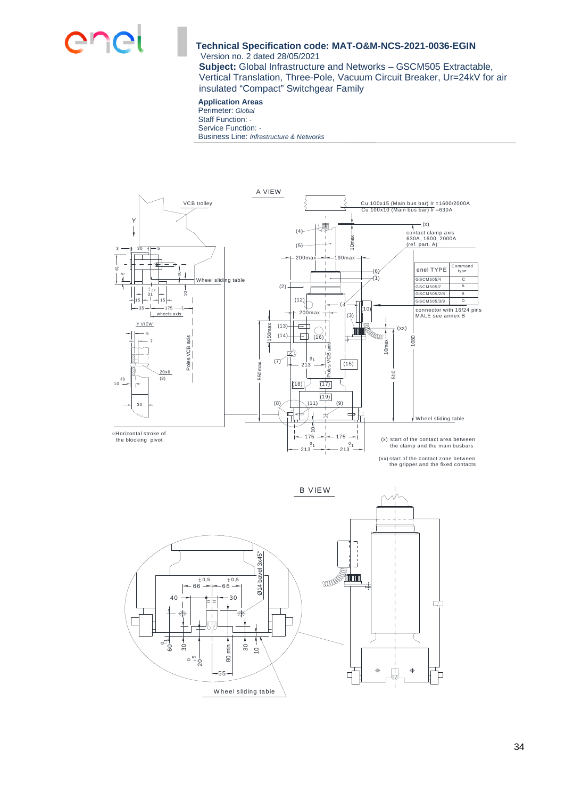

**Subject:** Global Infrastructure and Networks – GSCM505 Extractable, Vertical Translation, Three-Pole, Vacuum Circuit Breaker, Ur=24kV for air insulated "Compact" Switchgear Family

## **Application Areas**

Perimeter: *Global* Staff Function: *-*  Service Function: *-*  Business Line: *Infrastructure & Networks*



(xx) start of the contact zone between the gripper and the fixed contacts

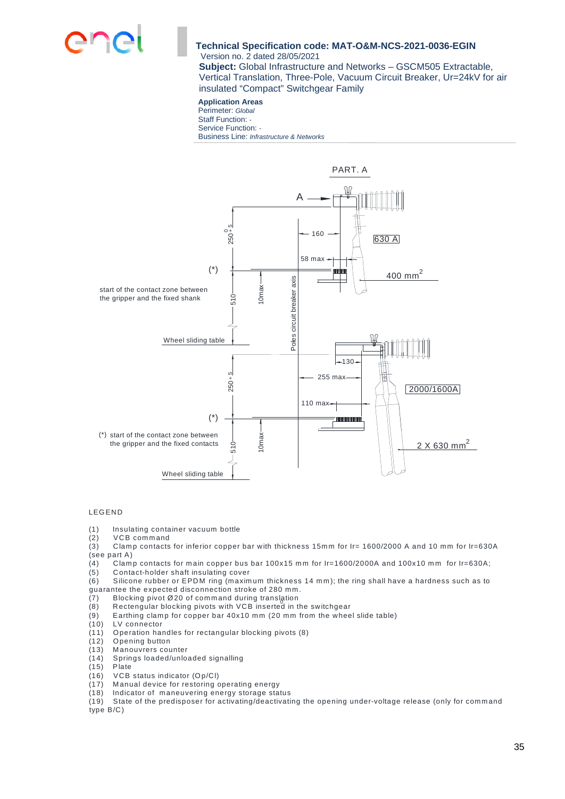

**Subject:** Global Infrastructure and Networks – GSCM505 Extractable, Vertical Translation, Three-Pole, Vacuum Circuit Breaker, Ur=24kV for air insulated "Compact" Switchgear Family

#### **Application Areas**  Perimeter: *Global* Staff Function: *-*

Service Function: *-*  Business Line: *Infrastructure & Networks*



#### **LEGEND**

(1) Insulating container vacuum bottle

(2) VCB command

(3) Clamp contacts for inferior copper bar with thickness 15mm for Ir= 1600/2000 A and 10 mm for Ir=630A (see part A)

(4) Clamp contacts for main copper bus bar 100x15 mm for Ir=1600/2000A and 100x10 mm for Ir=630A;

(5) Contact-holder shaft insulating cover<br>(6) Silicone rubber or EPDM ring (maxim Silicone rubber or EPDM ring (maximum thickness 14 mm); the ring shall have a hardness such as to

- guarantee the expected disconnection stroke of 280 mm.
- (7) Blocking pivot Ø20 of command during translation
- (8) Rectengular blocking pivots with VCB inserted in the switchgear
- $(9)$  Earthing clamp for copper bar 40x10 mm (20 mm from the wheel slide table)
- (10) LV connector
- (11) O peration handles for rectangular blocking pivots (8)
- (12) Opening button<br>(13) Manouvrers cou
- Manouvrers counter
- (14) Springs loaded/unloaded signalling
- (15) Plate
- (16) VCB status indicator  $(Dp/CI)$ <br>(17) Manual device for restoring c
- (17) Manual device for restoring operating energy<br>(18) Indicator of maneuvering energy storage star
- $(18)$  Indicator of maneuvering energy storage status (19) State of the predisposer for activating/deactivati

State of the predisposer for activating/deactivating the opening under-voltage release (only for command type B/C )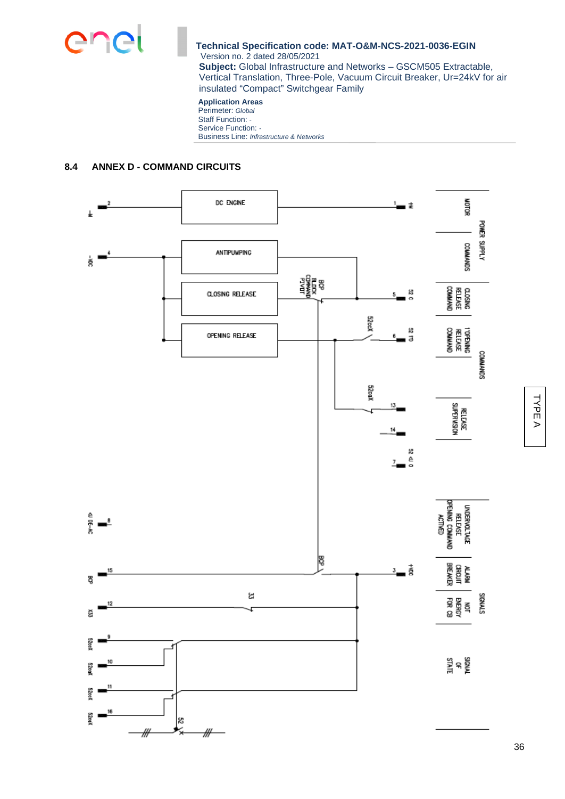

### **Application Areas**

Perimeter: *Global* Staff Function: *-*  Service Function: *-*  Business Line: *Infrastructure & Networks*

## **8.4 ANNEX D - COMMAND CIRCUITS**

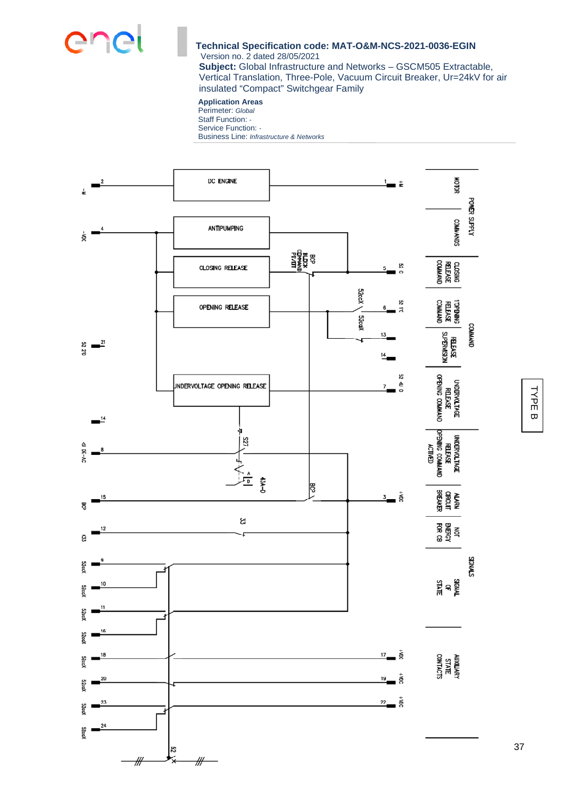

**Subject:** Global Infrastructure and Networks – GSCM505 Extractable, Vertical Translation, Three-Pole, Vacuum Circuit Breaker, Ur=24kV for air insulated "Compact" Switchgear Family

#### **Application Areas**

Perimeter: *Global* Staff Function: *-*  Service Function: *-*  Business Line: *Infrastructure & Networks*



T Y P E  $\overline{\mathbf{v}}$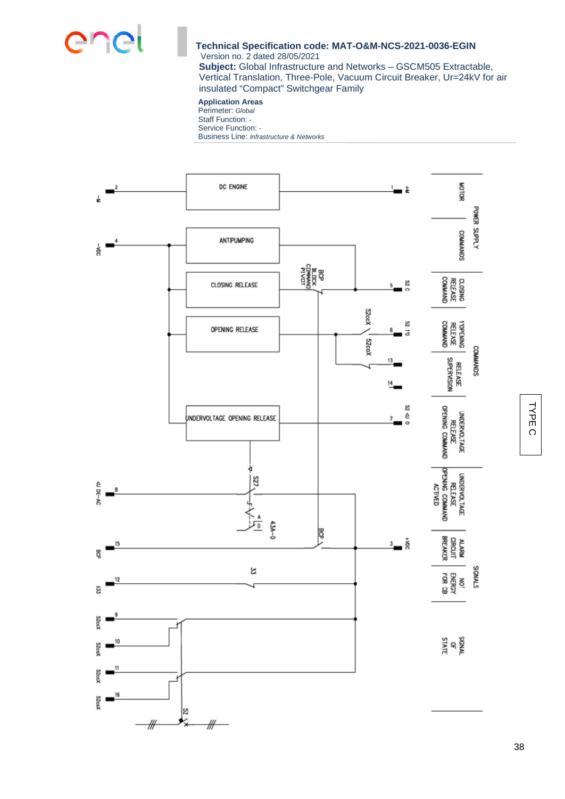

**Subject:** Global Infrastructure and Networks – GSCM505 Extractable, Vertical Translation, Three-Pole, Vacuum Circuit Breaker, Ur=24kV for air insulated "Compact" Switchgear Family

#### **Application Areas**

Perimeter: *Global* Staff Function: *-*  Service Function: *-*  Business Line: *Infrastructure & Networks*



국<br>군  $\circ$